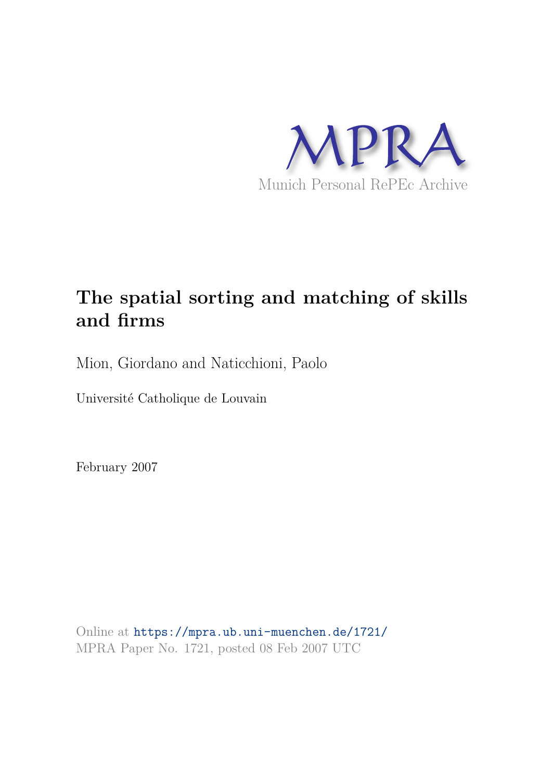

# **The spatial sorting and matching of skills and firms**

Mion, Giordano and Naticchioni, Paolo

Université Catholique de Louvain

February 2007

Online at https://mpra.ub.uni-muenchen.de/1721/ MPRA Paper No. 1721, posted 08 Feb 2007 UTC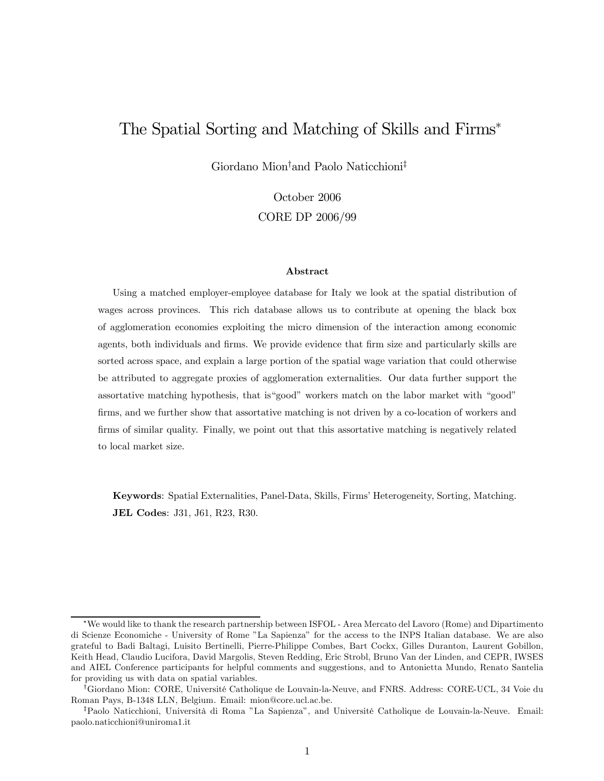# The Spatial Sorting and Matching of Skills and Firms<sup>∗</sup>

Giordano Mion†and Paolo Naticchioni‡

October 2006 CORE DP 2006/99

### Abstract

Using a matched employer-employee database for Italy we look at the spatial distribution of wages across provinces. This rich database allows us to contribute at opening the black box of agglomeration economies exploiting the micro dimension of the interaction among economic agents, both individuals and firms. We provide evidence that firm size and particularly skills are sorted across space, and explain a large portion of the spatial wage variation that could otherwise be attributed to aggregate proxies of agglomeration externalities. Our data further support the assortative matching hypothesis, that is"good" workers match on the labor market with "good" firms, and we further show that assortative matching is not driven by a co-location of workers and firms of similar quality. Finally, we point out that this assortative matching is negatively related to local market size.

Keywords: Spatial Externalities, Panel-Data, Skills, Firms' Heterogeneity, Sorting, Matching. JEL Codes: J31, J61, R23, R30.

<sup>∗</sup>We would like to thank the research partnership between ISFOL - Area Mercato del Lavoro (Rome) and Dipartimento di Scienze Economiche - University of Rome "La Sapienza" for the access to the INPS Italian database. We are also grateful to Badi Baltagi, Luisito Bertinelli, Pierre-Philippe Combes, Bart Cockx, Gilles Duranton, Laurent Gobillon, Keith Head, Claudio Lucifora, David Margolis, Steven Redding, Eric Strobl, Bruno Van der Linden, and CEPR, IWSES and AIEL Conference participants for helpful comments and suggestions, and to Antonietta Mundo, Renato Santelia for providing us with data on spatial variables.

<sup>†</sup>Giordano Mion: CORE, Université Catholique de Louvain-la-Neuve, and FNRS. Address: CORE-UCL, 34 Voie du Roman Pays, B-1348 LLN, Belgium. Email: mion@core.ucl.ac.be.

<sup>‡</sup>Paolo Naticchioni, Università di Roma "La Sapienza", and Université Catholique de Louvain-la-Neuve. Email: paolo.naticchioni@uniroma1.it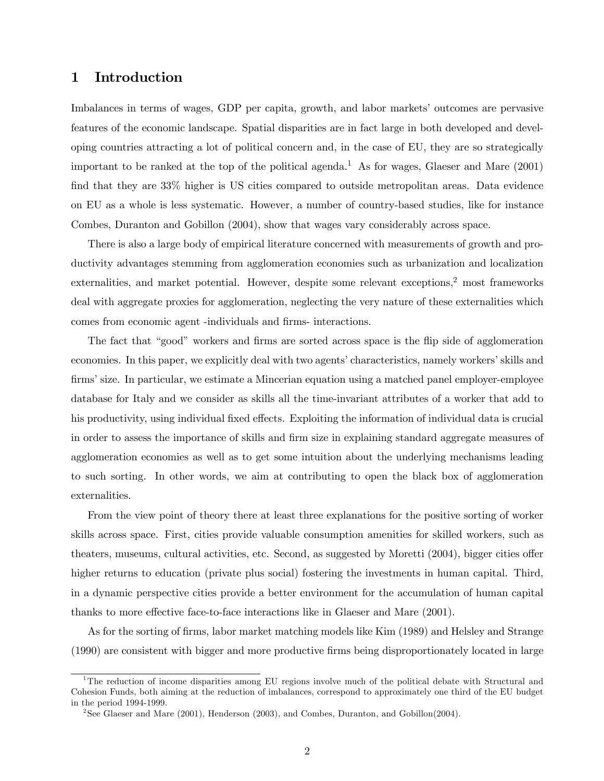# 1 Introduction

Imbalances in terms of wages, GDP per capita, growth, and labor markets' outcomes are pervasive features of the economic landscape. Spatial disparities are in fact large in both developed and developing countries attracting a lot of political concern and, in the case of EU, they are so strategically important to be ranked at the top of the political agenda.<sup>1</sup> As for wages, Glaeser and Mare  $(2001)$ find that they are 33% higher is US cities compared to outside metropolitan areas. Data evidence on EU as a whole is less systematic. However, a number of country-based studies, like for instance Combes, Duranton and Gobillon (2004), show that wages vary considerably across space.

There is also a large body of empirical literature concerned with measurements of growth and productivity advantages stemming from agglomeration economies such as urbanization and localization externalities, and market potential. However, despite some relevant exceptions, $\frac{2}{3}$  most frameworks deal with aggregate proxies for agglomeration, neglecting the very nature of these externalities which comes from economic agent -individuals and firms- interactions.

The fact that "good" workers and firms are sorted across space is the flip side of agglomeration economies. In this paper, we explicitly deal with two agents' characteristics, namely workers' skills and firms' size. In particular, we estimate a Mincerian equation using a matched panel employer-employee database for Italy and we consider as skills all the time-invariant attributes of a worker that add to his productivity, using individual fixed effects. Exploiting the information of individual data is crucial in order to assess the importance of skills and firm size in explaining standard aggregate measures of agglomeration economies as well as to get some intuition about the underlying mechanisms leading to such sorting. In other words, we aim at contributing to open the black box of agglomeration externalities.

From the view point of theory there at least three explanations for the positive sorting of worker skills across space. First, cities provide valuable consumption amenities for skilled workers, such as theaters, museums, cultural activities, etc. Second, as suggested by Moretti (2004), bigger cities offer higher returns to education (private plus social) fostering the investments in human capital. Third, in a dynamic perspective cities provide a better environment for the accumulation of human capital thanks to more effective face-to-face interactions like in Glaeser and Mare (2001).

As for the sorting of firms, labor market matching models like Kim (1989) and Helsley and Strange (1990) are consistent with bigger and more productive firms being disproportionately located in large

<sup>1</sup>The reduction of income disparities among EU regions involve much of the political debate with Structural and Cohesion Funds, both aiming at the reduction of imbalances, correspond to approximately one third of the EU budget in the period 1994-1999.

<sup>2</sup> See Glaeser and Mare (2001), Henderson (2003), and Combes, Duranton, and Gobillon(2004).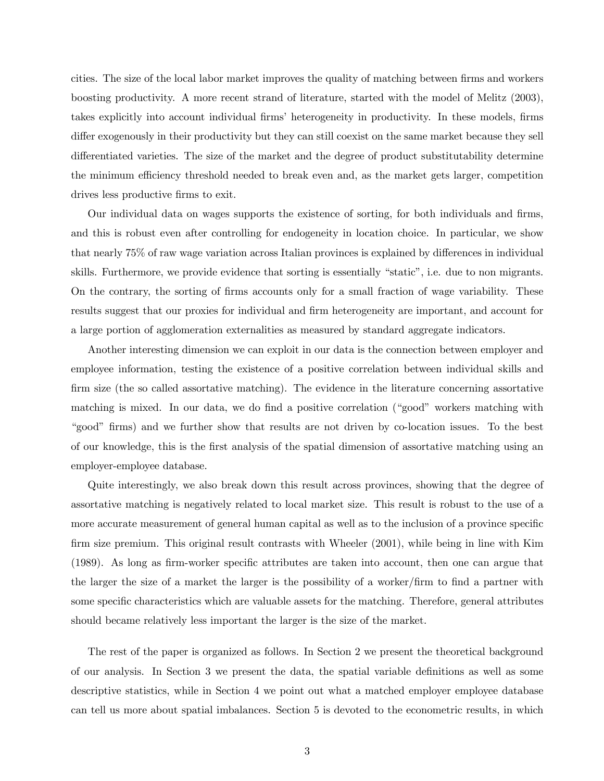cities. The size of the local labor market improves the quality of matching between firms and workers boosting productivity. A more recent strand of literature, started with the model of Melitz (2003), takes explicitly into account individual firms' heterogeneity in productivity. In these models, firms differ exogenously in their productivity but they can still coexist on the same market because they sell differentiated varieties. The size of the market and the degree of product substitutability determine the minimum efficiency threshold needed to break even and, as the market gets larger, competition drives less productive firms to exit.

Our individual data on wages supports the existence of sorting, for both individuals and firms, and this is robust even after controlling for endogeneity in location choice. In particular, we show that nearly 75% of raw wage variation across Italian provinces is explained by differences in individual skills. Furthermore, we provide evidence that sorting is essentially "static", i.e. due to non migrants. On the contrary, the sorting of firms accounts only for a small fraction of wage variability. These results suggest that our proxies for individual and firm heterogeneity are important, and account for a large portion of agglomeration externalities as measured by standard aggregate indicators.

Another interesting dimension we can exploit in our data is the connection between employer and employee information, testing the existence of a positive correlation between individual skills and firm size (the so called assortative matching). The evidence in the literature concerning assortative matching is mixed. In our data, we do find a positive correlation ("good" workers matching with "good" firms) and we further show that results are not driven by co-location issues. To the best of our knowledge, this is the first analysis of the spatial dimension of assortative matching using an employer-employee database.

Quite interestingly, we also break down this result across provinces, showing that the degree of assortative matching is negatively related to local market size. This result is robust to the use of a more accurate measurement of general human capital as well as to the inclusion of a province specific firm size premium. This original result contrasts with Wheeler (2001), while being in line with Kim (1989). As long as firm-worker specific attributes are taken into account, then one can argue that the larger the size of a market the larger is the possibility of a worker/firm to find a partner with some specific characteristics which are valuable assets for the matching. Therefore, general attributes should became relatively less important the larger is the size of the market.

The rest of the paper is organized as follows. In Section 2 we present the theoretical background of our analysis. In Section 3 we present the data, the spatial variable definitions as well as some descriptive statistics, while in Section 4 we point out what a matched employer employee database can tell us more about spatial imbalances. Section 5 is devoted to the econometric results, in which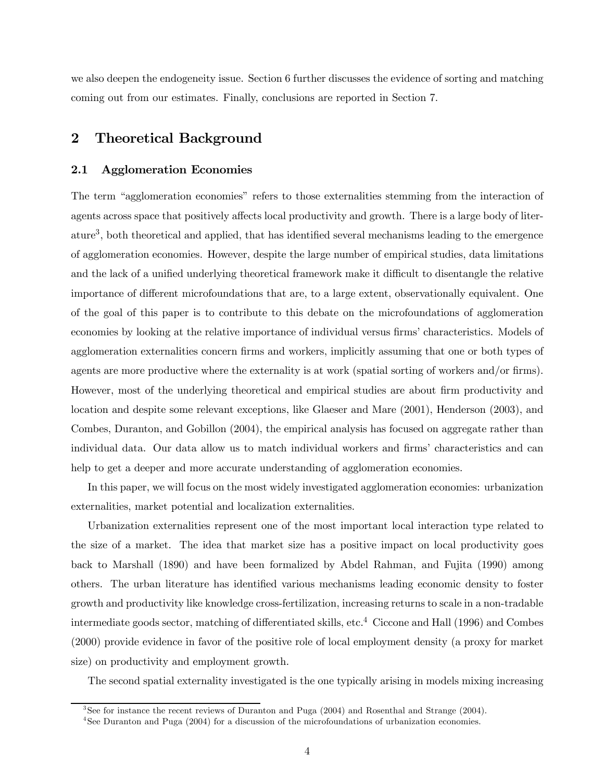we also deepen the endogeneity issue. Section 6 further discusses the evidence of sorting and matching coming out from our estimates. Finally, conclusions are reported in Section 7.

## 2 Theoretical Background

### 2.1 Agglomeration Economies

The term "agglomeration economies" refers to those externalities stemming from the interaction of agents across space that positively affects local productivity and growth. There is a large body of literature<sup>3</sup> , both theoretical and applied, that has identified several mechanisms leading to the emergence of agglomeration economies. However, despite the large number of empirical studies, data limitations and the lack of a unified underlying theoretical framework make it difficult to disentangle the relative importance of different microfoundations that are, to a large extent, observationally equivalent. One of the goal of this paper is to contribute to this debate on the microfoundations of agglomeration economies by looking at the relative importance of individual versus firms' characteristics. Models of agglomeration externalities concern firms and workers, implicitly assuming that one or both types of agents are more productive where the externality is at work (spatial sorting of workers and/or firms). However, most of the underlying theoretical and empirical studies are about firm productivity and location and despite some relevant exceptions, like Glaeser and Mare (2001), Henderson (2003), and Combes, Duranton, and Gobillon (2004), the empirical analysis has focused on aggregate rather than individual data. Our data allow us to match individual workers and firms' characteristics and can help to get a deeper and more accurate understanding of agglomeration economies.

In this paper, we will focus on the most widely investigated agglomeration economies: urbanization externalities, market potential and localization externalities.

Urbanization externalities represent one of the most important local interaction type related to the size of a market. The idea that market size has a positive impact on local productivity goes back to Marshall (1890) and have been formalized by Abdel Rahman, and Fujita (1990) among others. The urban literature has identified various mechanisms leading economic density to foster growth and productivity like knowledge cross-fertilization, increasing returns to scale in a non-tradable intermediate goods sector, matching of differentiated skills, etc.<sup>4</sup> Ciccone and Hall (1996) and Combes (2000) provide evidence in favor of the positive role of local employment density (a proxy for market size) on productivity and employment growth.

The second spatial externality investigated is the one typically arising in models mixing increasing

<sup>3</sup> See for instance the recent reviews of Duranton and Puga (2004) and Rosenthal and Strange (2004).

<sup>4</sup> See Duranton and Puga (2004) for a discussion of the microfoundations of urbanization economies.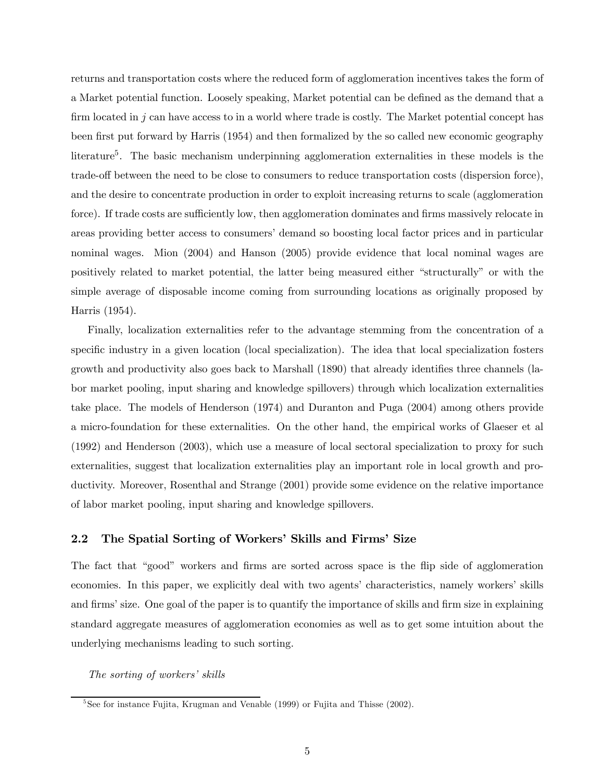returns and transportation costs where the reduced form of agglomeration incentives takes the form of a Market potential function. Loosely speaking, Market potential can be defined as the demand that a firm located in  $j$  can have access to in a world where trade is costly. The Market potential concept has been first put forward by Harris (1954) and then formalized by the so called new economic geography literature<sup>5</sup>. The basic mechanism underpinning agglomeration externalities in these models is the trade-off between the need to be close to consumers to reduce transportation costs (dispersion force), and the desire to concentrate production in order to exploit increasing returns to scale (agglomeration force). If trade costs are sufficiently low, then agglomeration dominates and firms massively relocate in areas providing better access to consumers' demand so boosting local factor prices and in particular nominal wages. Mion (2004) and Hanson (2005) provide evidence that local nominal wages are positively related to market potential, the latter being measured either "structurally" or with the simple average of disposable income coming from surrounding locations as originally proposed by Harris (1954).

Finally, localization externalities refer to the advantage stemming from the concentration of a specific industry in a given location (local specialization). The idea that local specialization fosters growth and productivity also goes back to Marshall (1890) that already identifies three channels (labor market pooling, input sharing and knowledge spillovers) through which localization externalities take place. The models of Henderson (1974) and Duranton and Puga (2004) among others provide a micro-foundation for these externalities. On the other hand, the empirical works of Glaeser et al (1992) and Henderson (2003), which use a measure of local sectoral specialization to proxy for such externalities, suggest that localization externalities play an important role in local growth and productivity. Moreover, Rosenthal and Strange (2001) provide some evidence on the relative importance of labor market pooling, input sharing and knowledge spillovers.

### 2.2 The Spatial Sorting of Workers' Skills and Firms' Size

The fact that "good" workers and firms are sorted across space is the flip side of agglomeration economies. In this paper, we explicitly deal with two agents' characteristics, namely workers' skills and firms' size. One goal of the paper is to quantify the importance of skills and firm size in explaining standard aggregate measures of agglomeration economies as well as to get some intuition about the underlying mechanisms leading to such sorting.

The sorting of workers' skills

<sup>&</sup>lt;sup>5</sup>See for instance Fujita, Krugman and Venable (1999) or Fujita and Thisse (2002).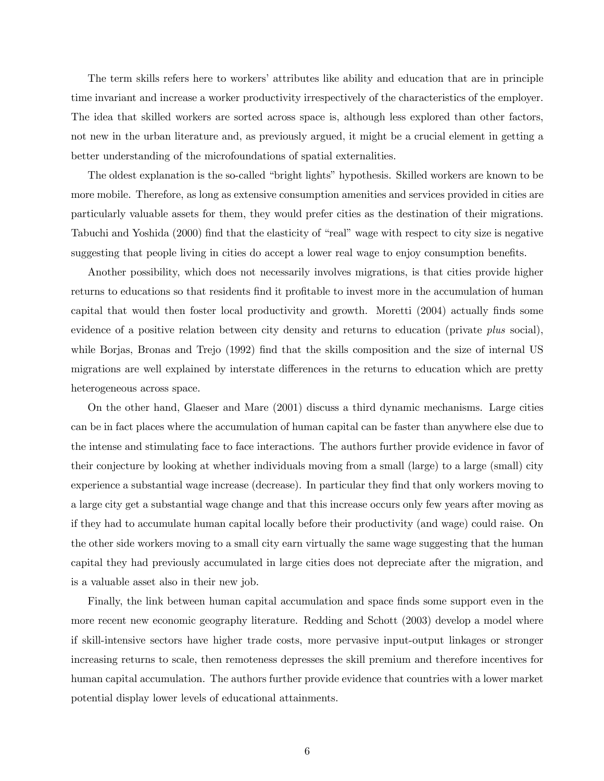The term skills refers here to workers' attributes like ability and education that are in principle time invariant and increase a worker productivity irrespectively of the characteristics of the employer. The idea that skilled workers are sorted across space is, although less explored than other factors, not new in the urban literature and, as previously argued, it might be a crucial element in getting a better understanding of the microfoundations of spatial externalities.

The oldest explanation is the so-called "bright lights" hypothesis. Skilled workers are known to be more mobile. Therefore, as long as extensive consumption amenities and services provided in cities are particularly valuable assets for them, they would prefer cities as the destination of their migrations. Tabuchi and Yoshida (2000) find that the elasticity of "real" wage with respect to city size is negative suggesting that people living in cities do accept a lower real wage to enjoy consumption benefits.

Another possibility, which does not necessarily involves migrations, is that cities provide higher returns to educations so that residents find it profitable to invest more in the accumulation of human capital that would then foster local productivity and growth. Moretti (2004) actually finds some evidence of a positive relation between city density and returns to education (private plus social), while Borjas, Bronas and Trejo (1992) find that the skills composition and the size of internal US migrations are well explained by interstate differences in the returns to education which are pretty heterogeneous across space.

On the other hand, Glaeser and Mare (2001) discuss a third dynamic mechanisms. Large cities can be in fact places where the accumulation of human capital can be faster than anywhere else due to the intense and stimulating face to face interactions. The authors further provide evidence in favor of their conjecture by looking at whether individuals moving from a small (large) to a large (small) city experience a substantial wage increase (decrease). In particular they find that only workers moving to a large city get a substantial wage change and that this increase occurs only few years after moving as if they had to accumulate human capital locally before their productivity (and wage) could raise. On the other side workers moving to a small city earn virtually the same wage suggesting that the human capital they had previously accumulated in large cities does not depreciate after the migration, and is a valuable asset also in their new job.

Finally, the link between human capital accumulation and space finds some support even in the more recent new economic geography literature. Redding and Schott (2003) develop a model where if skill-intensive sectors have higher trade costs, more pervasive input-output linkages or stronger increasing returns to scale, then remoteness depresses the skill premium and therefore incentives for human capital accumulation. The authors further provide evidence that countries with a lower market potential display lower levels of educational attainments.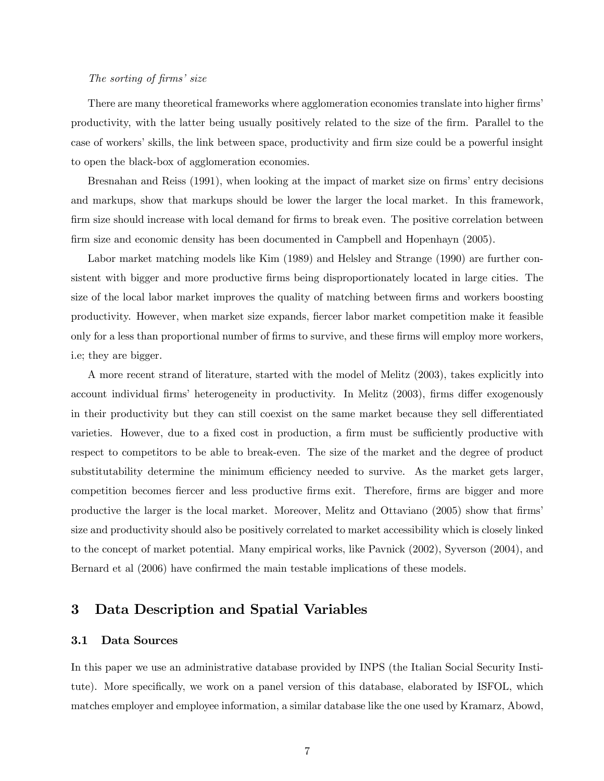### The sorting of firms' size

There are many theoretical frameworks where agglomeration economies translate into higher firms' productivity, with the latter being usually positively related to the size of the firm. Parallel to the case of workers' skills, the link between space, productivity and firm size could be a powerful insight to open the black-box of agglomeration economies.

Bresnahan and Reiss (1991), when looking at the impact of market size on firms' entry decisions and markups, show that markups should be lower the larger the local market. In this framework, firm size should increase with local demand for firms to break even. The positive correlation between firm size and economic density has been documented in Campbell and Hopenhayn (2005).

Labor market matching models like Kim (1989) and Helsley and Strange (1990) are further consistent with bigger and more productive firms being disproportionately located in large cities. The size of the local labor market improves the quality of matching between firms and workers boosting productivity. However, when market size expands, fiercer labor market competition make it feasible only for a less than proportional number of firms to survive, and these firms will employ more workers, i.e; they are bigger.

A more recent strand of literature, started with the model of Melitz (2003), takes explicitly into account individual firms' heterogeneity in productivity. In Melitz (2003), firms differ exogenously in their productivity but they can still coexist on the same market because they sell differentiated varieties. However, due to a fixed cost in production, a firm must be sufficiently productive with respect to competitors to be able to break-even. The size of the market and the degree of product substitutability determine the minimum efficiency needed to survive. As the market gets larger, competition becomes fiercer and less productive firms exit. Therefore, firms are bigger and more productive the larger is the local market. Moreover, Melitz and Ottaviano (2005) show that firms' size and productivity should also be positively correlated to market accessibility which is closely linked to the concept of market potential. Many empirical works, like Pavnick (2002), Syverson (2004), and Bernard et al (2006) have confirmed the main testable implications of these models.

# 3 Data Description and Spatial Variables

### 3.1 Data Sources

In this paper we use an administrative database provided by INPS (the Italian Social Security Institute). More specifically, we work on a panel version of this database, elaborated by ISFOL, which matches employer and employee information, a similar database like the one used by Kramarz, Abowd,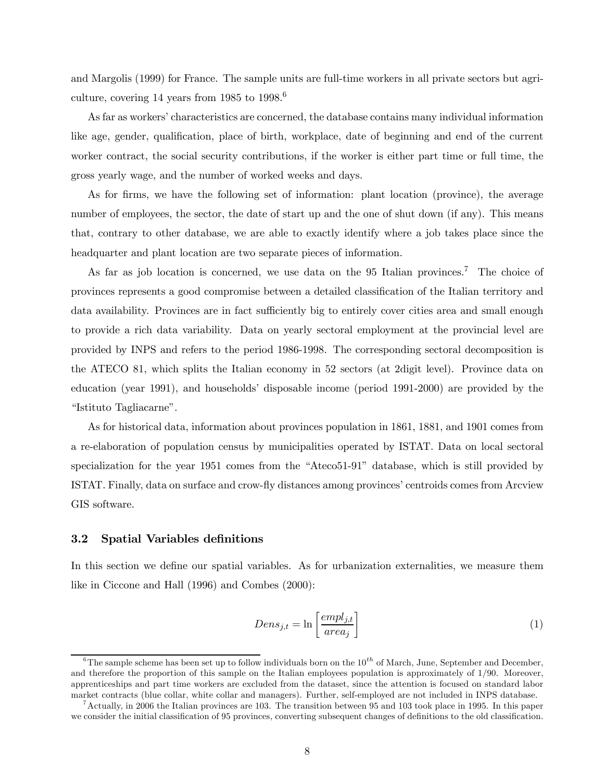and Margolis (1999) for France. The sample units are full-time workers in all private sectors but agriculture, covering 14 years from  $1985$  to  $1998$ <sup>6</sup>

As far as workers' characteristics are concerned, the database contains many individual information like age, gender, qualification, place of birth, workplace, date of beginning and end of the current worker contract, the social security contributions, if the worker is either part time or full time, the gross yearly wage, and the number of worked weeks and days.

As for firms, we have the following set of information: plant location (province), the average number of employees, the sector, the date of start up and the one of shut down (if any). This means that, contrary to other database, we are able to exactly identify where a job takes place since the headquarter and plant location are two separate pieces of information.

As far as job location is concerned, we use data on the 95 Italian provinces.<sup>7</sup> The choice of provinces represents a good compromise between a detailed classification of the Italian territory and data availability. Provinces are in fact sufficiently big to entirely cover cities area and small enough to provide a rich data variability. Data on yearly sectoral employment at the provincial level are provided by INPS and refers to the period 1986-1998. The corresponding sectoral decomposition is the ATECO 81, which splits the Italian economy in 52 sectors (at 2digit level). Province data on education (year 1991), and households' disposable income (period 1991-2000) are provided by the "Istituto Tagliacarne".

As for historical data, information about provinces population in 1861, 1881, and 1901 comes from a re-elaboration of population census by municipalities operated by ISTAT. Data on local sectoral specialization for the year 1951 comes from the "Ateco51-91" database, which is still provided by ISTAT. Finally, data on surface and crow-fly distances among provinces' centroids comes from Arcview GIS software.

### 3.2 Spatial Variables definitions

In this section we define our spatial variables. As for urbanization externalities, we measure them like in Ciccone and Hall (1996) and Combes (2000):

$$
Dens_{j,t} = \ln \left[ \frac{empl_{j,t}}{area_j} \right] \tag{1}
$$

<sup>&</sup>lt;sup>6</sup>The sample scheme has been set up to follow individuals born on the  $10^{th}$  of March, June, September and December, and therefore the proportion of this sample on the Italian employees population is approximately of 1/90. Moreover, apprenticeships and part time workers are excluded from the dataset, since the attention is focused on standard labor market contracts (blue collar, white collar and managers). Further, self-employed are not included in INPS database.

<sup>&</sup>lt;sup>7</sup>Actually, in 2006 the Italian provinces are 103. The transition between 95 and 103 took place in 1995. In this paper we consider the initial classification of 95 provinces, converting subsequent changes of definitions to the old classification.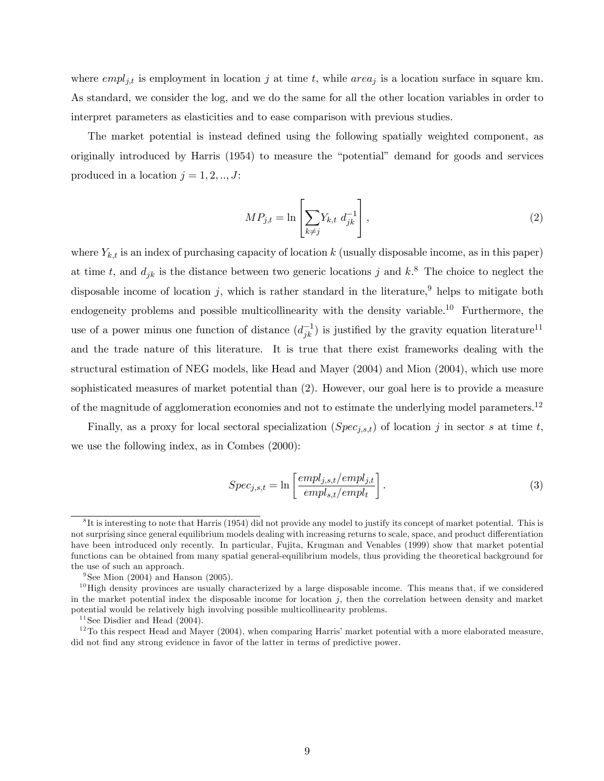where  $empl_{j,t}$  is employment in location j at time t, while  $area_j$  is a location surface in square km. As standard, we consider the log, and we do the same for all the other location variables in order to interpret parameters as elasticities and to ease comparison with previous studies.

The market potential is instead defined using the following spatially weighted component, as originally introduced by Harris (1954) to measure the "potential" demand for goods and services produced in a location  $j = 1, 2, ..., J$ :

$$
MP_{j,t} = \ln\left[\sum_{k \neq j} Y_{k,t} d_{jk}^{-1}\right],\tag{2}
$$

where  $Y_{k,t}$  is an index of purchasing capacity of location k (usually disposable income, as in this paper) at time t, and  $d_{jk}$  is the distance between two generic locations j and  $k$ <sup>8</sup>. The choice to neglect the disposable income of location j, which is rather standard in the literature,<sup>9</sup> helps to mitigate both endogeneity problems and possible multicollinearity with the density variable.<sup>10</sup> Furthermore, the use of a power minus one function of distance  $(d_{jk}^{-1})$  is justified by the gravity equation literature<sup>11</sup> and the trade nature of this literature. It is true that there exist frameworks dealing with the structural estimation of NEG models, like Head and Mayer (2004) and Mion (2004), which use more sophisticated measures of market potential than (2). However, our goal here is to provide a measure of the magnitude of agglomeration economies and not to estimate the underlying model parameters.<sup>12</sup>

Finally, as a proxy for local sectoral specialization  $(Spec_{j,s,t})$  of location j in sector s at time t, we use the following index, as in Combes (2000):

$$
Spec_{j,s,t} = \ln\left[\frac{empl_{j,s,t}/empl_{j,t}}{empl_{s,t}/empl_{t}}\right].
$$
\n(3)

<sup>&</sup>lt;sup>8</sup>It is interesting to note that Harris (1954) did not provide any model to justify its concept of market potential. This is not surprising since general equilibrium models dealing with increasing returns to scale, space, and product differentiation have been introduced only recently. In particular, Fujita, Krugman and Venables (1999) show that market potential functions can be obtained from many spatial general-equilibrium models, thus providing the theoretical background for the use of such an approach.

<sup>&</sup>lt;sup>9</sup>See Mion  $(2004)$  and Hanson  $(2005)$ .

 $10$ High density provinces are usually characterized by a large disposable income. This means that, if we considered in the market potential index the disposable income for location j, then the correlation between density and market potential would be relatively high involving possible multicollinearity problems.

 $11$  See Disdier and Head (2004).

 $12$ To this respect Head and Mayer (2004), when comparing Harris' market potential with a more elaborated measure, did not find any strong evidence in favor of the latter in terms of predictive power.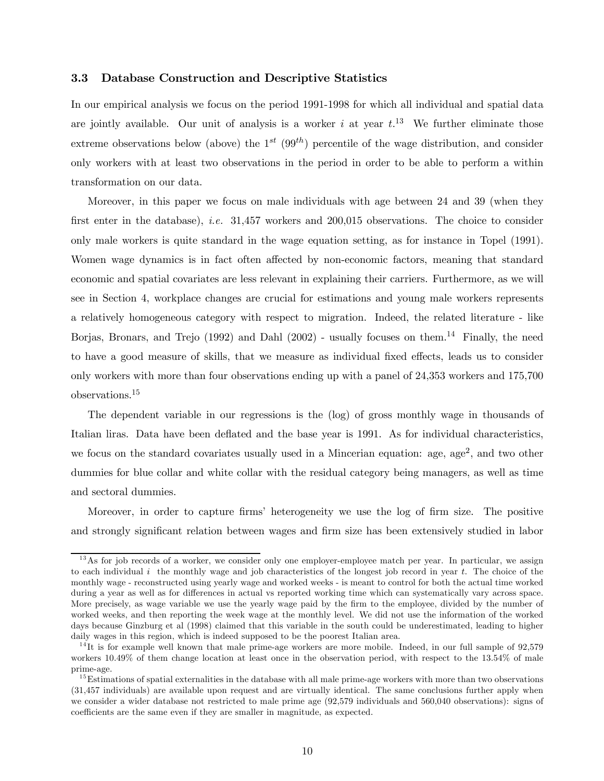### 3.3 Database Construction and Descriptive Statistics

In our empirical analysis we focus on the period 1991-1998 for which all individual and spatial data are jointly available. Our unit of analysis is a worker i at year  $t^{13}$ . We further eliminate those extreme observations below (above) the  $1^{st}$  (99<sup>th</sup>) percentile of the wage distribution, and consider only workers with at least two observations in the period in order to be able to perform a within transformation on our data.

Moreover, in this paper we focus on male individuals with age between 24 and 39 (when they first enter in the database), *i.e.* 31,457 workers and 200,015 observations. The choice to consider only male workers is quite standard in the wage equation setting, as for instance in Topel (1991). Women wage dynamics is in fact often affected by non-economic factors, meaning that standard economic and spatial covariates are less relevant in explaining their carriers. Furthermore, as we will see in Section 4, workplace changes are crucial for estimations and young male workers represents a relatively homogeneous category with respect to migration. Indeed, the related literature - like Borjas, Bronars, and Trejo (1992) and Dahl (2002) - usually focuses on them.<sup>14</sup> Finally, the need to have a good measure of skills, that we measure as individual fixed effects, leads us to consider only workers with more than four observations ending up with a panel of 24,353 workers and 175,700 observations.<sup>15</sup>

The dependent variable in our regressions is the (log) of gross monthly wage in thousands of Italian liras. Data have been deflated and the base year is 1991. As for individual characteristics, we focus on the standard covariates usually used in a Mincerian equation: age, age<sup>2</sup>, and two other dummies for blue collar and white collar with the residual category being managers, as well as time and sectoral dummies.

Moreover, in order to capture firms' heterogeneity we use the log of firm size. The positive and strongly significant relation between wages and firm size has been extensively studied in labor

<sup>&</sup>lt;sup>13</sup>As for job records of a worker, we consider only one employer-employee match per year. In particular, we assign to each individual  $i$  the monthly wage and job characteristics of the longest job record in year  $t$ . The choice of the monthly wage - reconstructed using yearly wage and worked weeks - is meant to control for both the actual time worked during a year as well as for differences in actual vs reported working time which can systematically vary across space. More precisely, as wage variable we use the yearly wage paid by the firm to the employee, divided by the number of worked weeks, and then reporting the week wage at the monthly level. We did not use the information of the worked days because Ginzburg et al (1998) claimed that this variable in the south could be underestimated, leading to higher daily wages in this region, which is indeed supposed to be the poorest Italian area.

 $14$ It is for example well known that male prime-age workers are more mobile. Indeed, in our full sample of  $92,579$ workers 10.49% of them change location at least once in the observation period, with respect to the 13.54% of male prime-age.

 $15$  Estimations of spatial externalities in the database with all male prime-age workers with more than two observations (31,457 individuals) are available upon request and are virtually identical. The same conclusions further apply when we consider a wider database not restricted to male prime age (92,579 individuals and 560,040 observations): signs of coefficients are the same even if they are smaller in magnitude, as expected.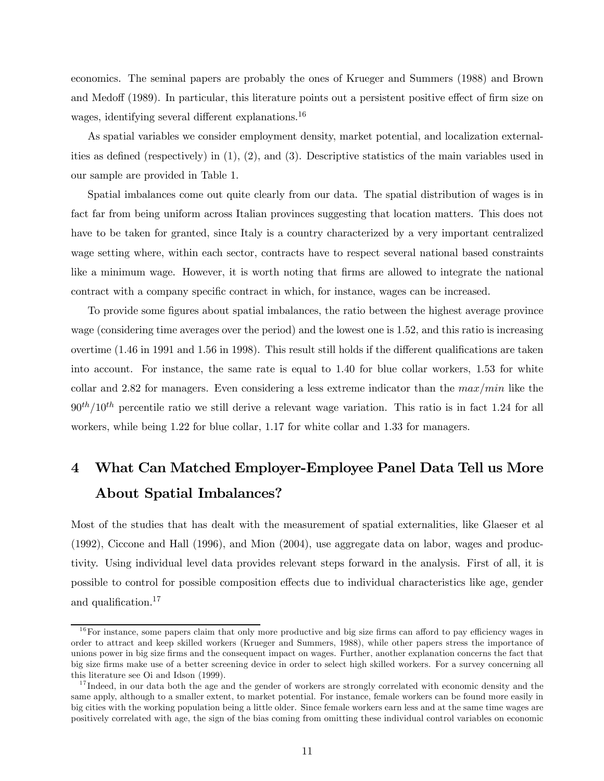economics. The seminal papers are probably the ones of Krueger and Summers (1988) and Brown and Medoff (1989). In particular, this literature points out a persistent positive effect of firm size on wages, identifying several different explanations.<sup>16</sup>

As spatial variables we consider employment density, market potential, and localization externalities as defined (respectively) in (1), (2), and (3). Descriptive statistics of the main variables used in our sample are provided in Table 1.

Spatial imbalances come out quite clearly from our data. The spatial distribution of wages is in fact far from being uniform across Italian provinces suggesting that location matters. This does not have to be taken for granted, since Italy is a country characterized by a very important centralized wage setting where, within each sector, contracts have to respect several national based constraints like a minimum wage. However, it is worth noting that firms are allowed to integrate the national contract with a company specific contract in which, for instance, wages can be increased.

To provide some figures about spatial imbalances, the ratio between the highest average province wage (considering time averages over the period) and the lowest one is 1.52, and this ratio is increasing overtime (1.46 in 1991 and 1.56 in 1998). This result still holds if the different qualifications are taken into account. For instance, the same rate is equal to 1.40 for blue collar workers, 1.53 for white collar and 2.82 for managers. Even considering a less extreme indicator than the  $max/min$  like the  $90<sup>th</sup>/10<sup>th</sup>$  percentile ratio we still derive a relevant wage variation. This ratio is in fact 1.24 for all workers, while being 1.22 for blue collar, 1.17 for white collar and 1.33 for managers.

# 4 What Can Matched Employer-Employee Panel Data Tell us More About Spatial Imbalances?

Most of the studies that has dealt with the measurement of spatial externalities, like Glaeser et al (1992), Ciccone and Hall (1996), and Mion (2004), use aggregate data on labor, wages and productivity. Using individual level data provides relevant steps forward in the analysis. First of all, it is possible to control for possible composition effects due to individual characteristics like age, gender and qualification.<sup>17</sup>

 $16$  For instance, some papers claim that only more productive and big size firms can afford to pay efficiency wages in order to attract and keep skilled workers (Krueger and Summers, 1988), while other papers stress the importance of unions power in big size firms and the consequent impact on wages. Further, another explanation concerns the fact that big size firms make use of a better screening device in order to select high skilled workers. For a survey concerning all this literature see Oi and Idson (1999).

 $17$  Indeed, in our data both the age and the gender of workers are strongly correlated with economic density and the same apply, although to a smaller extent, to market potential. For instance, female workers can be found more easily in big cities with the working population being a little older. Since female workers earn less and at the same time wages are positively correlated with age, the sign of the bias coming from omitting these individual control variables on economic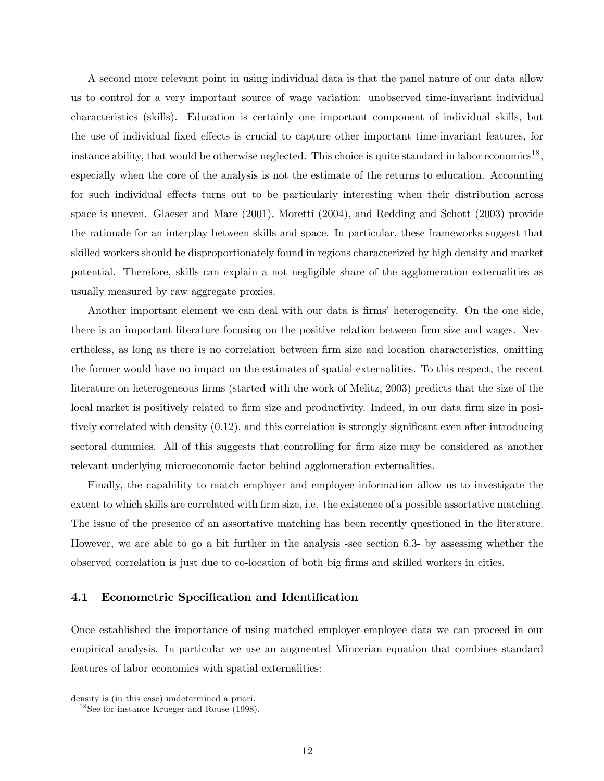A second more relevant point in using individual data is that the panel nature of our data allow us to control for a very important source of wage variation: unobserved time-invariant individual characteristics (skills). Education is certainly one important component of individual skills, but the use of individual fixed effects is crucial to capture other important time-invariant features, for instance ability, that would be otherwise neglected. This choice is quite standard in labor economics<sup>18</sup>, especially when the core of the analysis is not the estimate of the returns to education. Accounting for such individual effects turns out to be particularly interesting when their distribution across space is uneven. Glaeser and Mare (2001), Moretti (2004), and Redding and Schott (2003) provide the rationale for an interplay between skills and space. In particular, these frameworks suggest that skilled workers should be disproportionately found in regions characterized by high density and market potential. Therefore, skills can explain a not negligible share of the agglomeration externalities as usually measured by raw aggregate proxies.

Another important element we can deal with our data is firms' heterogeneity. On the one side, there is an important literature focusing on the positive relation between firm size and wages. Nevertheless, as long as there is no correlation between firm size and location characteristics, omitting the former would have no impact on the estimates of spatial externalities. To this respect, the recent literature on heterogeneous firms (started with the work of Melitz, 2003) predicts that the size of the local market is positively related to firm size and productivity. Indeed, in our data firm size in positively correlated with density (0.12), and this correlation is strongly significant even after introducing sectoral dummies. All of this suggests that controlling for firm size may be considered as another relevant underlying microeconomic factor behind agglomeration externalities.

Finally, the capability to match employer and employee information allow us to investigate the extent to which skills are correlated with firm size, i.e. the existence of a possible assortative matching. The issue of the presence of an assortative matching has been recently questioned in the literature. However, we are able to go a bit further in the analysis -see section 6.3- by assessing whether the observed correlation is just due to co-location of both big firms and skilled workers in cities.

### 4.1 Econometric Specification and Identification

Once established the importance of using matched employer-employee data we can proceed in our empirical analysis. In particular we use an augmented Mincerian equation that combines standard features of labor economics with spatial externalities:

density is (in this case) undetermined a priori.

 $18$  See for instance Krueger and Rouse (1998).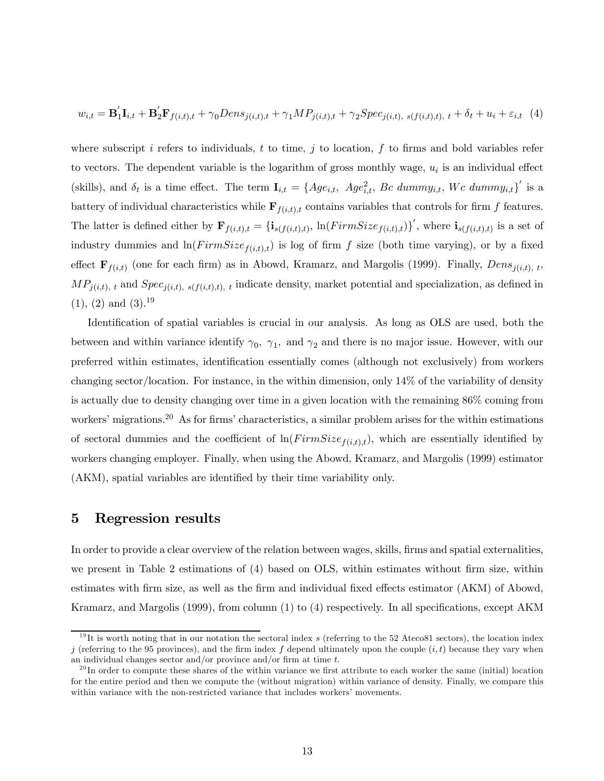$$
w_{i,t} = \mathbf{B}_1'\mathbf{I}_{i,t} + \mathbf{B}_2'\mathbf{F}_{f(i,t),t} + \gamma_0 Dens_{j(i,t),t} + \gamma_1 MP_{j(i,t),t} + \gamma_2 Spec_{j(i,t), s(f(i,t),t), t} + \delta_t + u_i + \varepsilon_{i,t} \tag{4}
$$

where subscript i refers to individuals, t to time, j to location, f to firms and bold variables refer to vectors. The dependent variable is the logarithm of gross monthly wage,  $u_i$  is an individual effect (skills), and  $\delta_t$  is a time effect. The term  $\mathbf{I}_{i,t} = \{Age_{i,t}, Age_{i,t}^2,$  Bc dummy<sub>i,t</sub>, Wc dummy<sub>i,t</sub>}' is a battery of individual characteristics while  $\mathbf{F}_{f(i,t),t}$  contains variables that controls for firm f features. The latter is defined either by  $\mathbf{F}_{f(i,t),t} = {\mathbf{i}_{s(f(i,t),t)} \ln(PrimSize_{f(i,t),t}) }'$ , where  $\mathbf{i}_{s(f(i,t),t)}$  is a set of industry dummies and  $ln(FirmSize_{f(i,t),t})$  is log of firm f size (both time varying), or by a fixed effect  $\mathbf{F}_{f(i,t)}$  (one for each firm) as in Abowd, Kramarz, and Margolis (1999). Finally,  $Dens_{j(i,t), t}$ ,  $MP_{j(i,t), t}$  and  $Spec_{j(i,t), s(f(i,t), t)}$ , indicate density, market potential and specialization, as defined in  $(1), (2)$  and  $(3).^{19}$ 

Identification of spatial variables is crucial in our analysis. As long as OLS are used, both the between and within variance identify  $\gamma_0$ ,  $\gamma_1$ , and  $\gamma_2$  and there is no major issue. However, with our preferred within estimates, identification essentially comes (although not exclusively) from workers changing sector/location. For instance, in the within dimension, only 14% of the variability of density is actually due to density changing over time in a given location with the remaining 86% coming from workers' migrations.<sup>20</sup> As for firms' characteristics, a similar problem arises for the within estimations of sectoral dummies and the coefficient of  $\ln(FirmSize_{f(i,t),t})$ , which are essentially identified by workers changing employer. Finally, when using the Abowd, Kramarz, and Margolis (1999) estimator (AKM), spatial variables are identified by their time variability only.

### 5 Regression results

In order to provide a clear overview of the relation between wages, skills, firms and spatial externalities, we present in Table 2 estimations of (4) based on OLS, within estimates without firm size, within estimates with firm size, as well as the firm and individual fixed effects estimator (AKM) of Abowd, Kramarz, and Margolis (1999), from column (1) to (4) respectively. In all specifications, except AKM

<sup>&</sup>lt;sup>19</sup>It is worth noting that in our notation the sectoral index s (referring to the 52 Ateco81 sectors), the location index j (referring to the 95 provinces), and the firm index f depend ultimately upon the couple  $(i, t)$  because they vary when an individual changes sector and/or province and/or firm at time  $t$ .

 $20$  In order to compute these shares of the within variance we first attribute to each worker the same (initial) location for the entire period and then we compute the (without migration) within variance of density. Finally, we compare this within variance with the non-restricted variance that includes workers' movements.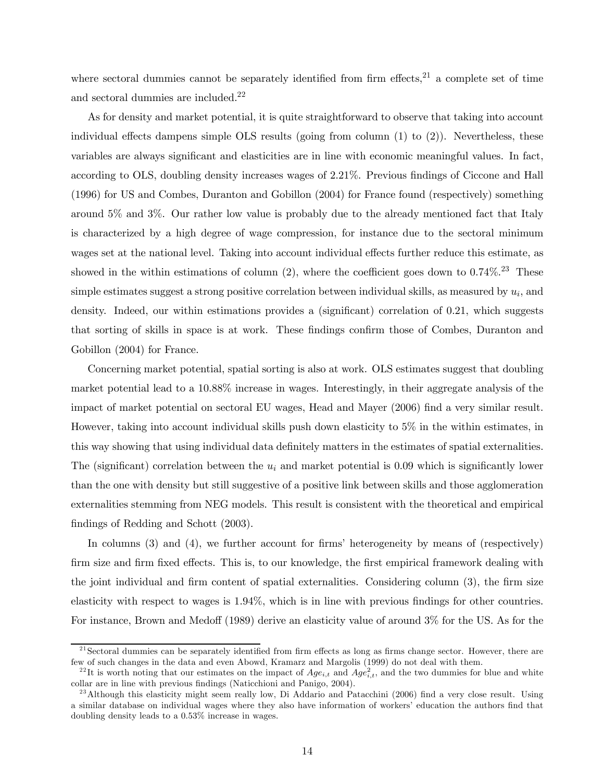where sectoral dummies cannot be separately identified from firm effects, $21$  a complete set of time and sectoral dummies are included.<sup>22</sup>

As for density and market potential, it is quite straightforward to observe that taking into account individual effects dampens simple OLS results (going from column  $(1)$  to  $(2)$ ). Nevertheless, these variables are always significant and elasticities are in line with economic meaningful values. In fact, according to OLS, doubling density increases wages of 2.21%. Previous findings of Ciccone and Hall (1996) for US and Combes, Duranton and Gobillon (2004) for France found (respectively) something around 5% and 3%. Our rather low value is probably due to the already mentioned fact that Italy is characterized by a high degree of wage compression, for instance due to the sectoral minimum wages set at the national level. Taking into account individual effects further reduce this estimate, as showed in the within estimations of column  $(2)$ , where the coefficient goes down to  $0.74\%$ .<sup>23</sup> These simple estimates suggest a strong positive correlation between individual skills, as measured by  $u_i$ , and density. Indeed, our within estimations provides a (significant) correlation of 0.21, which suggests that sorting of skills in space is at work. These findings confirm those of Combes, Duranton and Gobillon (2004) for France.

Concerning market potential, spatial sorting is also at work. OLS estimates suggest that doubling market potential lead to a 10.88% increase in wages. Interestingly, in their aggregate analysis of the impact of market potential on sectoral EU wages, Head and Mayer (2006) find a very similar result. However, taking into account individual skills push down elasticity to 5% in the within estimates, in this way showing that using individual data definitely matters in the estimates of spatial externalities. The (significant) correlation between the  $u_i$  and market potential is 0.09 which is significantly lower than the one with density but still suggestive of a positive link between skills and those agglomeration externalities stemming from NEG models. This result is consistent with the theoretical and empirical findings of Redding and Schott (2003).

In columns (3) and (4), we further account for firms' heterogeneity by means of (respectively) firm size and firm fixed effects. This is, to our knowledge, the first empirical framework dealing with the joint individual and firm content of spatial externalities. Considering column (3), the firm size elasticity with respect to wages is 1.94%, which is in line with previous findings for other countries. For instance, Brown and Medoff (1989) derive an elasticity value of around 3% for the US. As for the

 $21$  Sectoral dummies can be separately identified from firm effects as long as firms change sector. However, there are few of such changes in the data and even Abowd, Kramarz and Margolis (1999) do not deal with them.

<sup>&</sup>lt;sup>22</sup>It is worth noting that our estimates on the impact of  $Age_{i,t}$  and  $Age_{i,t}^2$ , and the two dummies for blue and white collar are in line with previous findings (Naticchioni and Panigo, 2004).

 $^{23}$ Although this elasticity might seem really low, Di Addario and Patacchini (2006) find a very close result. Using a similar database on individual wages where they also have information of workers' education the authors find that doubling density leads to a 0.53% increase in wages.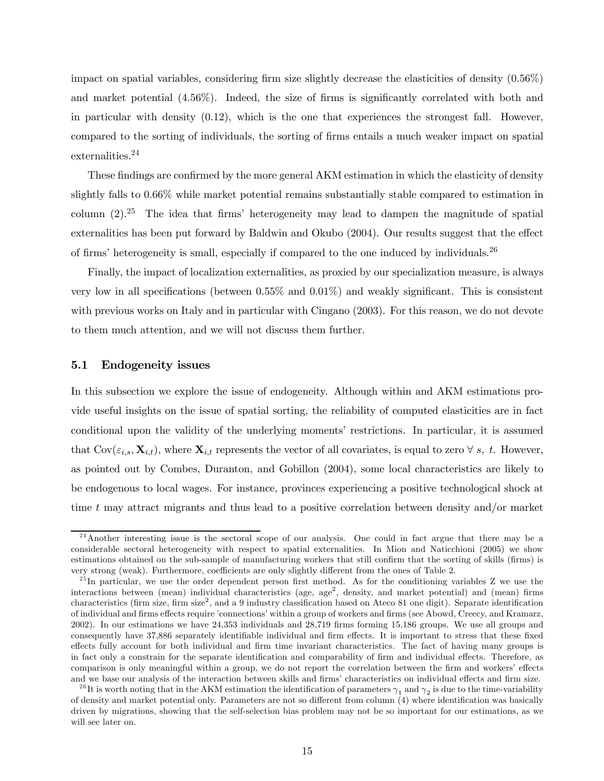impact on spatial variables, considering firm size slightly decrease the elasticities of density (0.56%) and market potential (4.56%). Indeed, the size of firms is significantly correlated with both and in particular with density  $(0.12)$ , which is the one that experiences the strongest fall. However, compared to the sorting of individuals, the sorting of firms entails a much weaker impact on spatial externalities.<sup>24</sup>

These findings are confirmed by the more general AKM estimation in which the elasticity of density slightly falls to 0.66% while market potential remains substantially stable compared to estimation in column  $(2).^{25}$  The idea that firms' heterogeneity may lead to dampen the magnitude of spatial externalities has been put forward by Baldwin and Okubo (2004). Our results suggest that the effect of firms' heterogeneity is small, especially if compared to the one induced by individuals.<sup>26</sup>

Finally, the impact of localization externalities, as proxied by our specialization measure, is always very low in all specifications (between 0.55% and 0.01%) and weakly significant. This is consistent with previous works on Italy and in particular with Cingano (2003). For this reason, we do not devote to them much attention, and we will not discuss them further.

### 5.1 Endogeneity issues

In this subsection we explore the issue of endogeneity. Although within and AKM estimations provide useful insights on the issue of spatial sorting, the reliability of computed elasticities are in fact conditional upon the validity of the underlying moments' restrictions. In particular, it is assumed that  $Cov(\varepsilon_{i,s}, \mathbf{X}_{i,t})$ , where  $\mathbf{X}_{i,t}$  represents the vector of all covariates, is equal to zero  $\forall s, t$ . However, as pointed out by Combes, Duranton, and Gobillon (2004), some local characteristics are likely to be endogenous to local wages. For instance, provinces experiencing a positive technological shock at time t may attract migrants and thus lead to a positive correlation between density and/or market

<sup>&</sup>lt;sup>24</sup> Another interesting issue is the sectoral scope of our analysis. One could in fact argue that there may be a considerable sectoral heterogeneity with respect to spatial externalities. In Mion and Naticchioni (2005) we show estimations obtained on the sub-sample of manufacturing workers that still confirm that the sorting of skills (firms) is very strong (weak). Furthermore, coefficients are only slightly different from the ones of Table 2.

 $^{25}$ In particular, we use the order dependent person first method. As for the conditioning variables Z we use the interactions between (mean) individual characteristics (age, age<sup>2</sup>, density, and market potential) and (mean) firms characteristics (firm size, firm size<sup>2</sup>, and a 9 industry classification based on Ateco 81 one digit). Separate identification of individual and firms effects require 'connections' within a group of workers and firms (see Abowd, Creecy, and Kramarz, 2002). In our estimations we have 24,353 individuals and 28,719 firms forming 15,186 groups. We use all groups and consequently have 37,886 separately identifiable individual and firm effects. It is important to stress that these fixed effects fully account for both individual and firm time invariant characteristics. The fact of having many groups is in fact only a constrain for the separate identification and comparability of firm and individual effects. Therefore, as comparison is only meaningful within a group, we do not report the correlation between the firm and workers' effects and we base our analysis of the interaction between skills and firms' characteristics on individual effects and firm size.

<sup>&</sup>lt;sup>26</sup>It is worth noting that in the AKM estimation the identification of parameters  $\gamma_1$  and  $\gamma_2$  is due to the time-variability of density and market potential only. Parameters are not so different from column (4) where identification was basically driven by migrations, showing that the self-selection bias problem may not be so important for our estimations, as we will see later on.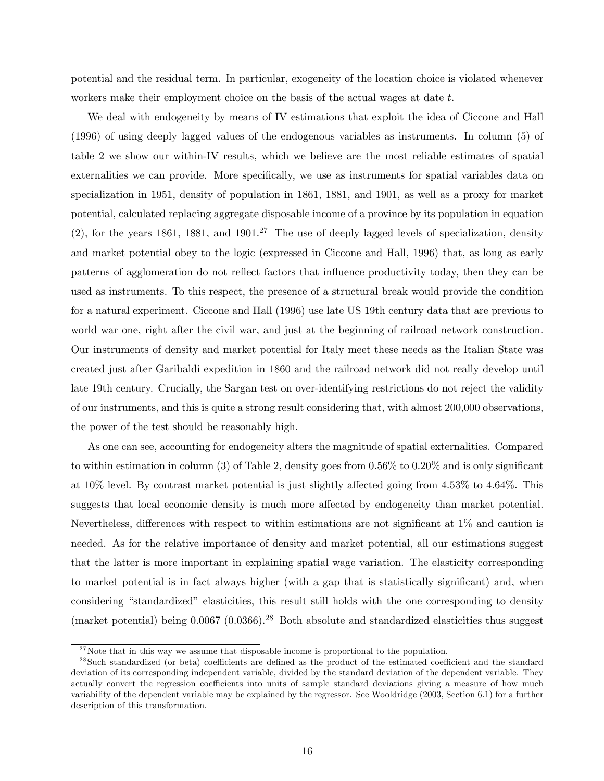potential and the residual term. In particular, exogeneity of the location choice is violated whenever workers make their employment choice on the basis of the actual wages at date t.

We deal with endogeneity by means of IV estimations that exploit the idea of Ciccone and Hall (1996) of using deeply lagged values of the endogenous variables as instruments. In column (5) of table 2 we show our within-IV results, which we believe are the most reliable estimates of spatial externalities we can provide. More specifically, we use as instruments for spatial variables data on specialization in 1951, density of population in 1861, 1881, and 1901, as well as a proxy for market potential, calculated replacing aggregate disposable income of a province by its population in equation  $(2)$ , for the years 1861, 1881, and 1901.<sup>27</sup> The use of deeply lagged levels of specialization, density and market potential obey to the logic (expressed in Ciccone and Hall, 1996) that, as long as early patterns of agglomeration do not reflect factors that influence productivity today, then they can be used as instruments. To this respect, the presence of a structural break would provide the condition for a natural experiment. Ciccone and Hall (1996) use late US 19th century data that are previous to world war one, right after the civil war, and just at the beginning of railroad network construction. Our instruments of density and market potential for Italy meet these needs as the Italian State was created just after Garibaldi expedition in 1860 and the railroad network did not really develop until late 19th century. Crucially, the Sargan test on over-identifying restrictions do not reject the validity of our instruments, and this is quite a strong result considering that, with almost 200,000 observations, the power of the test should be reasonably high.

As one can see, accounting for endogeneity alters the magnitude of spatial externalities. Compared to within estimation in column (3) of Table 2, density goes from  $0.56\%$  to  $0.20\%$  and is only significant at 10% level. By contrast market potential is just slightly affected going from 4.53% to 4.64%. This suggests that local economic density is much more affected by endogeneity than market potential. Nevertheless, differences with respect to within estimations are not significant at 1% and caution is needed. As for the relative importance of density and market potential, all our estimations suggest that the latter is more important in explaining spatial wage variation. The elasticity corresponding to market potential is in fact always higher (with a gap that is statistically significant) and, when considering "standardized" elasticities, this result still holds with the one corresponding to density (market potential) being  $0.0067$  ( $0.0366$ ).<sup>28</sup> Both absolute and standardized elasticities thus suggest

 $27$  Note that in this way we assume that disposable income is proportional to the population.

<sup>&</sup>lt;sup>28</sup>Such standardized (or beta) coefficients are defined as the product of the estimated coefficient and the standard deviation of its corresponding independent variable, divided by the standard deviation of the dependent variable. They actually convert the regression coefficients into units of sample standard deviations giving a measure of how much variability of the dependent variable may be explained by the regressor. See Wooldridge (2003, Section 6.1) for a further description of this transformation.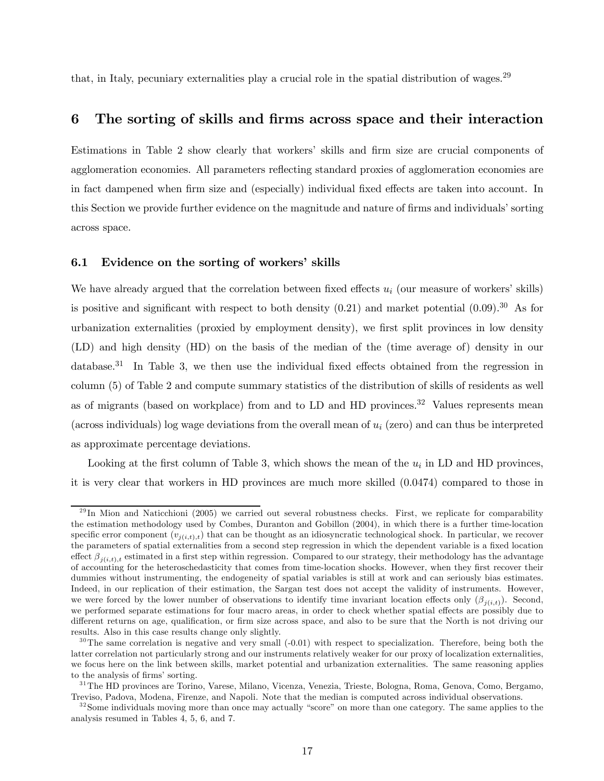that, in Italy, pecuniary externalities play a crucial role in the spatial distribution of wages.<sup>29</sup>

## 6 The sorting of skills and firms across space and their interaction

Estimations in Table 2 show clearly that workers' skills and firm size are crucial components of agglomeration economies. All parameters reflecting standard proxies of agglomeration economies are in fact dampened when firm size and (especially) individual fixed effects are taken into account. In this Section we provide further evidence on the magnitude and nature of firms and individuals' sorting across space.

### 6.1 Evidence on the sorting of workers' skills

We have already argued that the correlation between fixed effects  $u_i$  (our measure of workers' skills) is positive and significant with respect to both density  $(0.21)$  and market potential  $(0.09).^{30}$  As for urbanization externalities (proxied by employment density), we first split provinces in low density (LD) and high density (HD) on the basis of the median of the (time average of) density in our database.<sup>31</sup> In Table 3, we then use the individual fixed effects obtained from the regression in column (5) of Table 2 and compute summary statistics of the distribution of skills of residents as well as of migrants (based on workplace) from and to LD and HD provinces.<sup>32</sup> Values represents mean (across individuals) log wage deviations from the overall mean of  $u_i$  (zero) and can thus be interpreted as approximate percentage deviations.

Looking at the first column of Table 3, which shows the mean of the  $u_i$  in LD and HD provinces, it is very clear that workers in HD provinces are much more skilled (0.0474) compared to those in

 $^{29}$ In Mion and Naticchioni (2005) we carried out several robustness checks. First, we replicate for comparability the estimation methodology used by Combes, Duranton and Gobillon (2004), in which there is a further time-location specific error component  $(v_{i(i,t),t})$  that can be thought as an idiosyncratic technological shock. In particular, we recover the parameters of spatial externalities from a second step regression in which the dependent variable is a fixed location effect  $\beta_{i(i,t),t}$  estimated in a first step within regression. Compared to our strategy, their methodology has the advantage of accounting for the heteroschedasticity that comes from time-location shocks. However, when they first recover their dummies without instrumenting, the endogeneity of spatial variables is still at work and can seriously bias estimates. Indeed, in our replication of their estimation, the Sargan test does not accept the validity of instruments. However, we were forced by the lower number of observations to identify time invariant location effects only  $(\beta_{j(i,t)})$ . Second, we performed separate estimations for four macro areas, in order to check whether spatial effects are possibly due to different returns on age, qualification, or firm size across space, and also to be sure that the North is not driving our results. Also in this case results change only slightly.

 $30$ The same correlation is negative and very small  $(-0.01)$  with respect to specialization. Therefore, being both the latter correlation not particularly strong and our instruments relatively weaker for our proxy of localization externalities, we focus here on the link between skills, market potential and urbanization externalities. The same reasoning applies to the analysis of firms' sorting.

<sup>&</sup>lt;sup>31</sup>The HD provinces are Torino, Varese, Milano, Vicenza, Venezia, Trieste, Bologna, Roma, Genova, Como, Bergamo, Treviso, Padova, Modena, Firenze, and Napoli. Note that the median is computed across individual observations.

 $32$  Some individuals moving more than once may actually "score" on more than one category. The same applies to the analysis resumed in Tables 4, 5, 6, and 7.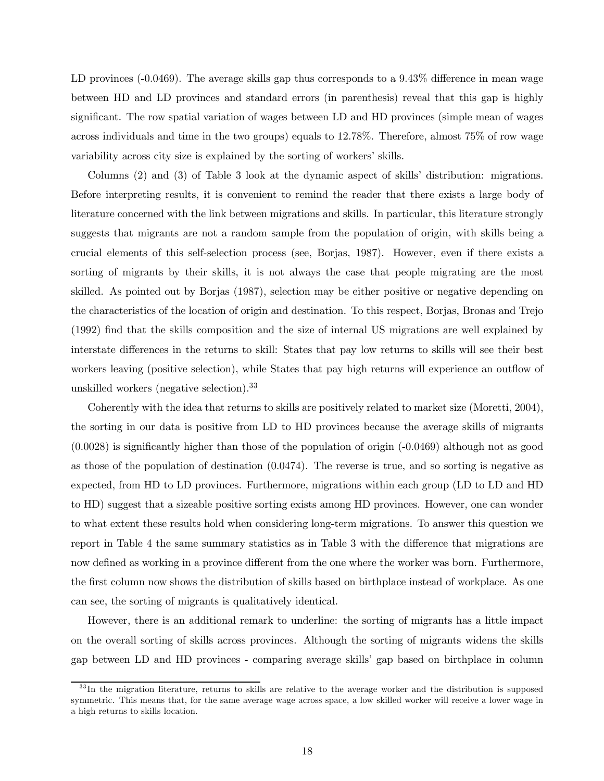LD provinces (-0.0469). The average skills gap thus corresponds to a 9.43% difference in mean wage between HD and LD provinces and standard errors (in parenthesis) reveal that this gap is highly significant. The row spatial variation of wages between LD and HD provinces (simple mean of wages across individuals and time in the two groups) equals to 12.78%. Therefore, almost 75% of row wage variability across city size is explained by the sorting of workers' skills.

Columns (2) and (3) of Table 3 look at the dynamic aspect of skills' distribution: migrations. Before interpreting results, it is convenient to remind the reader that there exists a large body of literature concerned with the link between migrations and skills. In particular, this literature strongly suggests that migrants are not a random sample from the population of origin, with skills being a crucial elements of this self-selection process (see, Borjas, 1987). However, even if there exists a sorting of migrants by their skills, it is not always the case that people migrating are the most skilled. As pointed out by Borjas (1987), selection may be either positive or negative depending on the characteristics of the location of origin and destination. To this respect, Borjas, Bronas and Trejo (1992) find that the skills composition and the size of internal US migrations are well explained by interstate differences in the returns to skill: States that pay low returns to skills will see their best workers leaving (positive selection), while States that pay high returns will experience an outflow of unskilled workers (negative selection).<sup>33</sup>

Coherently with the idea that returns to skills are positively related to market size (Moretti, 2004), the sorting in our data is positive from LD to HD provinces because the average skills of migrants (0.0028) is significantly higher than those of the population of origin (-0.0469) although not as good as those of the population of destination (0.0474). The reverse is true, and so sorting is negative as expected, from HD to LD provinces. Furthermore, migrations within each group (LD to LD and HD to HD) suggest that a sizeable positive sorting exists among HD provinces. However, one can wonder to what extent these results hold when considering long-term migrations. To answer this question we report in Table 4 the same summary statistics as in Table 3 with the difference that migrations are now defined as working in a province different from the one where the worker was born. Furthermore, the first column now shows the distribution of skills based on birthplace instead of workplace. As one can see, the sorting of migrants is qualitatively identical.

However, there is an additional remark to underline: the sorting of migrants has a little impact on the overall sorting of skills across provinces. Although the sorting of migrants widens the skills gap between LD and HD provinces - comparing average skills' gap based on birthplace in column

<sup>&</sup>lt;sup>33</sup>In the migration literature, returns to skills are relative to the average worker and the distribution is supposed symmetric. This means that, for the same average wage across space, a low skilled worker will receive a lower wage in a high returns to skills location.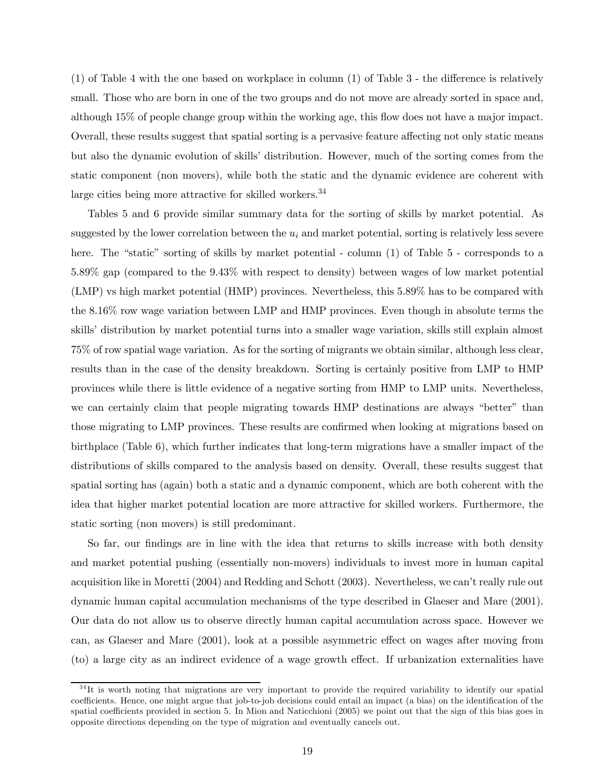(1) of Table 4 with the one based on workplace in column (1) of Table 3 - the difference is relatively small. Those who are born in one of the two groups and do not move are already sorted in space and, although 15% of people change group within the working age, this flow does not have a major impact. Overall, these results suggest that spatial sorting is a pervasive feature affecting not only static means but also the dynamic evolution of skills' distribution. However, much of the sorting comes from the static component (non movers), while both the static and the dynamic evidence are coherent with large cities being more attractive for skilled workers.<sup>34</sup>

Tables 5 and 6 provide similar summary data for the sorting of skills by market potential. As suggested by the lower correlation between the  $u_i$  and market potential, sorting is relatively less severe here. The "static" sorting of skills by market potential - column (1) of Table 5 - corresponds to a 5.89% gap (compared to the 9.43% with respect to density) between wages of low market potential (LMP) vs high market potential (HMP) provinces. Nevertheless, this 5.89% has to be compared with the 8.16% row wage variation between LMP and HMP provinces. Even though in absolute terms the skills' distribution by market potential turns into a smaller wage variation, skills still explain almost 75% of row spatial wage variation. As for the sorting of migrants we obtain similar, although less clear, results than in the case of the density breakdown. Sorting is certainly positive from LMP to HMP provinces while there is little evidence of a negative sorting from HMP to LMP units. Nevertheless, we can certainly claim that people migrating towards HMP destinations are always "better" than those migrating to LMP provinces. These results are confirmed when looking at migrations based on birthplace (Table 6), which further indicates that long-term migrations have a smaller impact of the distributions of skills compared to the analysis based on density. Overall, these results suggest that spatial sorting has (again) both a static and a dynamic component, which are both coherent with the idea that higher market potential location are more attractive for skilled workers. Furthermore, the static sorting (non movers) is still predominant.

So far, our findings are in line with the idea that returns to skills increase with both density and market potential pushing (essentially non-movers) individuals to invest more in human capital acquisition like in Moretti (2004) and Redding and Schott (2003). Nevertheless, we can't really rule out dynamic human capital accumulation mechanisms of the type described in Glaeser and Mare (2001). Our data do not allow us to observe directly human capital accumulation across space. However we can, as Glaeser and Mare (2001), look at a possible asymmetric effect on wages after moving from (to) a large city as an indirect evidence of a wage growth effect. If urbanization externalities have

 $34$ It is worth noting that migrations are very important to provide the required variability to identify our spatial coefficients. Hence, one might argue that job-to-job decisions could entail an impact (a bias) on the identification of the spatial coefficients provided in section 5. In Mion and Naticchioni (2005) we point out that the sign of this bias goes in opposite directions depending on the type of migration and eventually cancels out.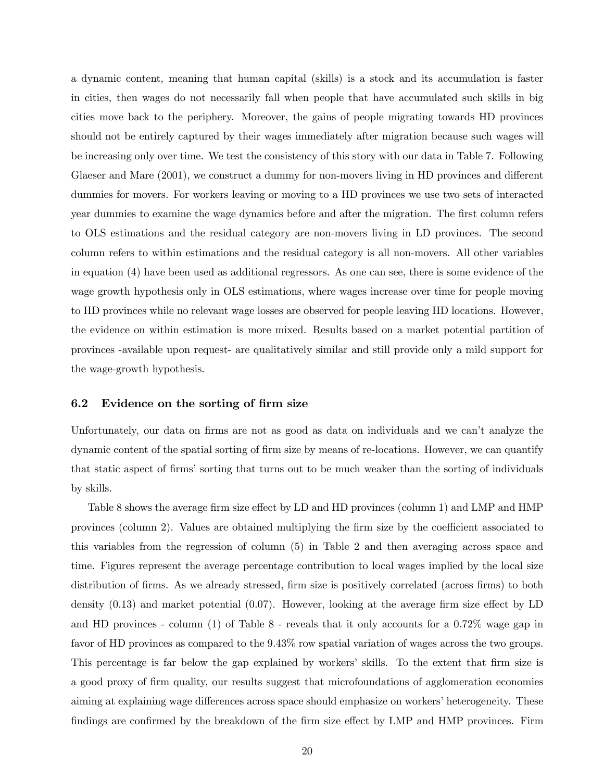a dynamic content, meaning that human capital (skills) is a stock and its accumulation is faster in cities, then wages do not necessarily fall when people that have accumulated such skills in big cities move back to the periphery. Moreover, the gains of people migrating towards HD provinces should not be entirely captured by their wages immediately after migration because such wages will be increasing only over time. We test the consistency of this story with our data in Table 7. Following Glaeser and Mare (2001), we construct a dummy for non-movers living in HD provinces and different dummies for movers. For workers leaving or moving to a HD provinces we use two sets of interacted year dummies to examine the wage dynamics before and after the migration. The first column refers to OLS estimations and the residual category are non-movers living in LD provinces. The second column refers to within estimations and the residual category is all non-movers. All other variables in equation (4) have been used as additional regressors. As one can see, there is some evidence of the wage growth hypothesis only in OLS estimations, where wages increase over time for people moving to HD provinces while no relevant wage losses are observed for people leaving HD locations. However, the evidence on within estimation is more mixed. Results based on a market potential partition of provinces -available upon request- are qualitatively similar and still provide only a mild support for the wage-growth hypothesis.

### 6.2 Evidence on the sorting of firm size

Unfortunately, our data on firms are not as good as data on individuals and we can't analyze the dynamic content of the spatial sorting of firm size by means of re-locations. However, we can quantify that static aspect of firms' sorting that turns out to be much weaker than the sorting of individuals by skills.

Table 8 shows the average firm size effect by LD and HD provinces (column 1) and LMP and HMP provinces (column 2). Values are obtained multiplying the firm size by the coefficient associated to this variables from the regression of column (5) in Table 2 and then averaging across space and time. Figures represent the average percentage contribution to local wages implied by the local size distribution of firms. As we already stressed, firm size is positively correlated (across firms) to both density (0.13) and market potential (0.07). However, looking at the average firm size effect by LD and HD provinces - column (1) of Table 8 - reveals that it only accounts for a 0.72% wage gap in favor of HD provinces as compared to the 9.43% row spatial variation of wages across the two groups. This percentage is far below the gap explained by workers' skills. To the extent that firm size is a good proxy of firm quality, our results suggest that microfoundations of agglomeration economies aiming at explaining wage differences across space should emphasize on workers' heterogeneity. These findings are confirmed by the breakdown of the firm size effect by LMP and HMP provinces. Firm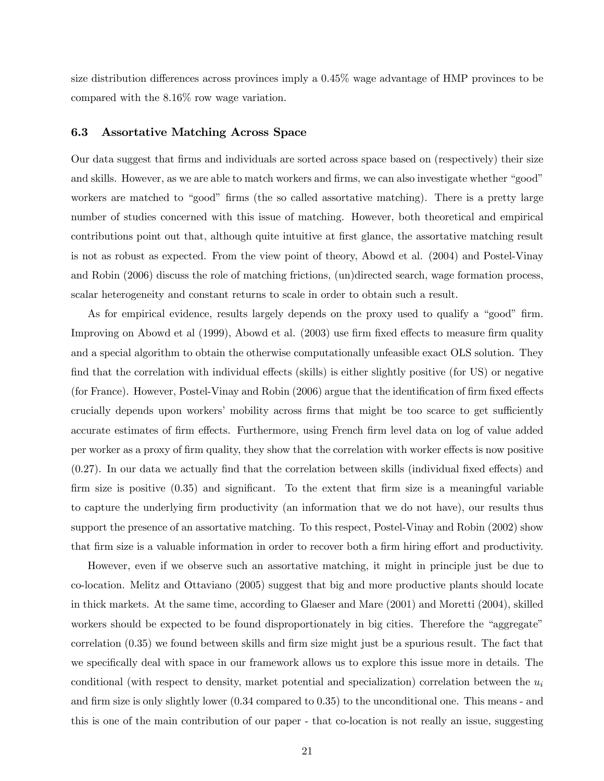size distribution differences across provinces imply a 0.45% wage advantage of HMP provinces to be compared with the 8.16% row wage variation.

### 6.3 Assortative Matching Across Space

Our data suggest that firms and individuals are sorted across space based on (respectively) their size and skills. However, as we are able to match workers and firms, we can also investigate whether "good" workers are matched to "good" firms (the so called assortative matching). There is a pretty large number of studies concerned with this issue of matching. However, both theoretical and empirical contributions point out that, although quite intuitive at first glance, the assortative matching result is not as robust as expected. From the view point of theory, Abowd et al. (2004) and Postel-Vinay and Robin (2006) discuss the role of matching frictions, (un)directed search, wage formation process, scalar heterogeneity and constant returns to scale in order to obtain such a result.

As for empirical evidence, results largely depends on the proxy used to qualify a "good" firm. Improving on Abowd et al (1999), Abowd et al. (2003) use firm fixed effects to measure firm quality and a special algorithm to obtain the otherwise computationally unfeasible exact OLS solution. They find that the correlation with individual effects (skills) is either slightly positive (for US) or negative (for France). However, Postel-Vinay and Robin (2006) argue that the identification of firm fixed effects crucially depends upon workers' mobility across firms that might be too scarce to get sufficiently accurate estimates of firm effects. Furthermore, using French firm level data on log of value added per worker as a proxy of firm quality, they show that the correlation with worker effects is now positive (0.27). In our data we actually find that the correlation between skills (individual fixed effects) and firm size is positive (0.35) and significant. To the extent that firm size is a meaningful variable to capture the underlying firm productivity (an information that we do not have), our results thus support the presence of an assortative matching. To this respect, Postel-Vinay and Robin (2002) show that firm size is a valuable information in order to recover both a firm hiring effort and productivity.

However, even if we observe such an assortative matching, it might in principle just be due to co-location. Melitz and Ottaviano (2005) suggest that big and more productive plants should locate in thick markets. At the same time, according to Glaeser and Mare (2001) and Moretti (2004), skilled workers should be expected to be found disproportionately in big cities. Therefore the "aggregate" correlation (0.35) we found between skills and firm size might just be a spurious result. The fact that we specifically deal with space in our framework allows us to explore this issue more in details. The conditional (with respect to density, market potential and specialization) correlation between the  $u_i$ and firm size is only slightly lower (0.34 compared to 0.35) to the unconditional one. This means - and this is one of the main contribution of our paper - that co-location is not really an issue, suggesting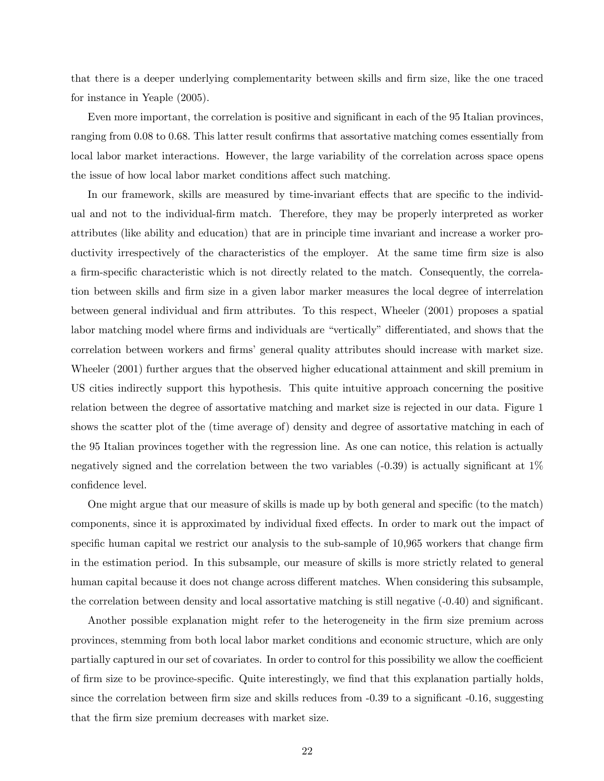that there is a deeper underlying complementarity between skills and firm size, like the one traced for instance in Yeaple (2005).

Even more important, the correlation is positive and significant in each of the 95 Italian provinces, ranging from 0.08 to 0.68. This latter result confirms that assortative matching comes essentially from local labor market interactions. However, the large variability of the correlation across space opens the issue of how local labor market conditions affect such matching.

In our framework, skills are measured by time-invariant effects that are specific to the individual and not to the individual-firm match. Therefore, they may be properly interpreted as worker attributes (like ability and education) that are in principle time invariant and increase a worker productivity irrespectively of the characteristics of the employer. At the same time firm size is also a firm-specific characteristic which is not directly related to the match. Consequently, the correlation between skills and firm size in a given labor marker measures the local degree of interrelation between general individual and firm attributes. To this respect, Wheeler (2001) proposes a spatial labor matching model where firms and individuals are "vertically" differentiated, and shows that the correlation between workers and firms' general quality attributes should increase with market size. Wheeler (2001) further argues that the observed higher educational attainment and skill premium in US cities indirectly support this hypothesis. This quite intuitive approach concerning the positive relation between the degree of assortative matching and market size is rejected in our data. Figure 1 shows the scatter plot of the (time average of) density and degree of assortative matching in each of the 95 Italian provinces together with the regression line. As one can notice, this relation is actually negatively signed and the correlation between the two variables (-0.39) is actually significant at 1% confidence level.

One might argue that our measure of skills is made up by both general and specific (to the match) components, since it is approximated by individual fixed effects. In order to mark out the impact of specific human capital we restrict our analysis to the sub-sample of 10,965 workers that change firm in the estimation period. In this subsample, our measure of skills is more strictly related to general human capital because it does not change across different matches. When considering this subsample, the correlation between density and local assortative matching is still negative (-0.40) and significant.

Another possible explanation might refer to the heterogeneity in the firm size premium across provinces, stemming from both local labor market conditions and economic structure, which are only partially captured in our set of covariates. In order to control for this possibility we allow the coefficient of firm size to be province-specific. Quite interestingly, we find that this explanation partially holds, since the correlation between firm size and skills reduces from -0.39 to a significant -0.16, suggesting that the firm size premium decreases with market size.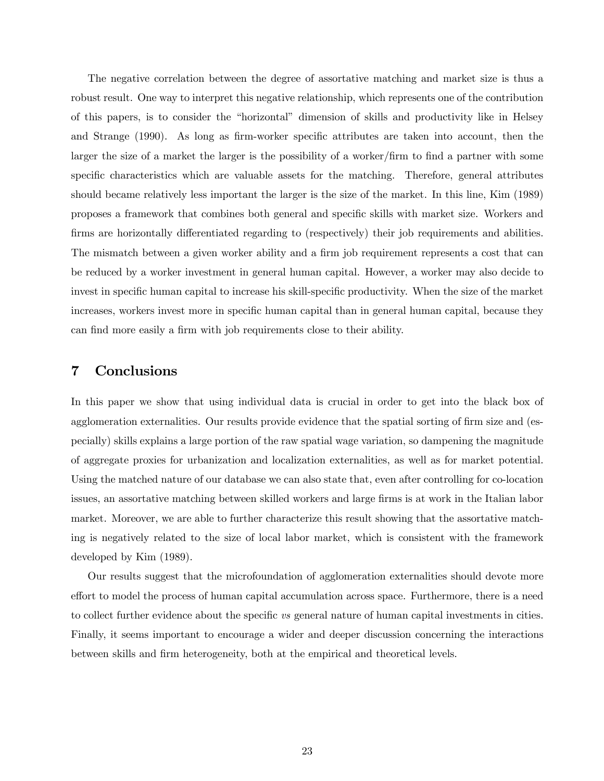The negative correlation between the degree of assortative matching and market size is thus a robust result. One way to interpret this negative relationship, which represents one of the contribution of this papers, is to consider the "horizontal" dimension of skills and productivity like in Helsey and Strange (1990). As long as firm-worker specific attributes are taken into account, then the larger the size of a market the larger is the possibility of a worker/firm to find a partner with some specific characteristics which are valuable assets for the matching. Therefore, general attributes should became relatively less important the larger is the size of the market. In this line, Kim (1989) proposes a framework that combines both general and specific skills with market size. Workers and firms are horizontally differentiated regarding to (respectively) their job requirements and abilities. The mismatch between a given worker ability and a firm job requirement represents a cost that can be reduced by a worker investment in general human capital. However, a worker may also decide to invest in specific human capital to increase his skill-specific productivity. When the size of the market increases, workers invest more in specific human capital than in general human capital, because they can find more easily a firm with job requirements close to their ability.

# 7 Conclusions

In this paper we show that using individual data is crucial in order to get into the black box of agglomeration externalities. Our results provide evidence that the spatial sorting of firm size and (especially) skills explains a large portion of the raw spatial wage variation, so dampening the magnitude of aggregate proxies for urbanization and localization externalities, as well as for market potential. Using the matched nature of our database we can also state that, even after controlling for co-location issues, an assortative matching between skilled workers and large firms is at work in the Italian labor market. Moreover, we are able to further characterize this result showing that the assortative matching is negatively related to the size of local labor market, which is consistent with the framework developed by Kim (1989).

Our results suggest that the microfoundation of agglomeration externalities should devote more effort to model the process of human capital accumulation across space. Furthermore, there is a need to collect further evidence about the specific vs general nature of human capital investments in cities. Finally, it seems important to encourage a wider and deeper discussion concerning the interactions between skills and firm heterogeneity, both at the empirical and theoretical levels.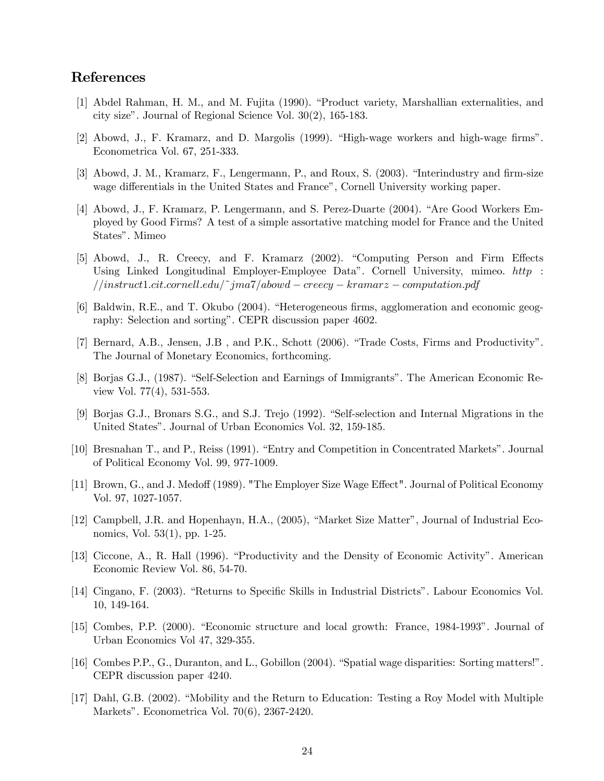# References

- [1] Abdel Rahman, H. M., and M. Fujita (1990). "Product variety, Marshallian externalities, and city size". Journal of Regional Science Vol. 30(2), 165-183.
- [2] Abowd, J., F. Kramarz, and D. Margolis (1999). "High-wage workers and high-wage firms". Econometrica Vol. 67, 251-333.
- [3] Abowd, J. M., Kramarz, F., Lengermann, P., and Roux, S. (2003). "Interindustry and firm-size wage differentials in the United States and France", Cornell University working paper.
- [4] Abowd, J., F. Kramarz, P. Lengermann, and S. Perez-Duarte (2004). "Are Good Workers Employed by Good Firms? A test of a simple assortative matching model for France and the United States". Mimeo
- [5] Abowd, J., R. Creecy, and F. Kramarz (2002). "Computing Person and Firm Effects Using Linked Longitudinal Employer-Employee Data". Cornell University, mimeo. http : //instruct1.cit.cornell.edu/˜jma7/abowd − creecy − kramarz − computation.pdf
- [6] Baldwin, R.E., and T. Okubo (2004). "Heterogeneous firms, agglomeration and economic geography: Selection and sorting". CEPR discussion paper 4602.
- [7] Bernard, A.B., Jensen, J.B , and P.K., Schott (2006). "Trade Costs, Firms and Productivity". The Journal of Monetary Economics, forthcoming.
- [8] Borjas G.J., (1987). "Self-Selection and Earnings of Immigrants". The American Economic Review Vol. 77(4), 531-553.
- [9] Borjas G.J., Bronars S.G., and S.J. Trejo (1992). "Self-selection and Internal Migrations in the United States". Journal of Urban Economics Vol. 32, 159-185.
- [10] Bresnahan T., and P., Reiss (1991). "Entry and Competition in Concentrated Markets". Journal of Political Economy Vol. 99, 977-1009.
- [11] Brown, G., and J. Medoff (1989). "The Employer Size Wage Effect". Journal of Political Economy Vol. 97, 1027-1057.
- [12] Campbell, J.R. and Hopenhayn, H.A., (2005), "Market Size Matter", Journal of Industrial Economics, Vol. 53(1), pp. 1-25.
- [13] Ciccone, A., R. Hall (1996). "Productivity and the Density of Economic Activity". American Economic Review Vol. 86, 54-70.
- [14] Cingano, F. (2003). "Returns to Specific Skills in Industrial Districts". Labour Economics Vol. 10, 149-164.
- [15] Combes, P.P. (2000). "Economic structure and local growth: France, 1984-1993". Journal of Urban Economics Vol 47, 329-355.
- [16] Combes P.P., G., Duranton, and L., Gobillon (2004). "Spatial wage disparities: Sorting matters!". CEPR discussion paper 4240.
- [17] Dahl, G.B. (2002). "Mobility and the Return to Education: Testing a Roy Model with Multiple Markets". Econometrica Vol. 70(6), 2367-2420.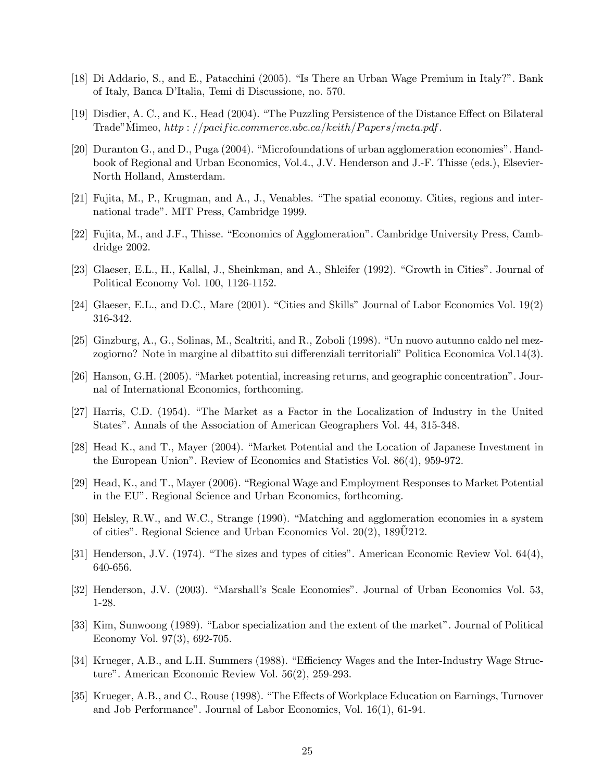- [18] Di Addario, S., and E., Patacchini (2005). "Is There an Urban Wage Premium in Italy?". Bank of Italy, Banca D'Italia, Temi di Discussione, no. 570.
- [19] Disdier, A. C., and K., Head (2004). "The Puzzling Persistence of the Distance Effect on Bilateral Trade"Mimeo,  $http://pacific.commerce.ubc.ca/keith/Papers/meta.pdf$ .
- [20] Duranton G., and D., Puga (2004). "Microfoundations of urban agglomeration economies". Handbook of Regional and Urban Economics, Vol.4., J.V. Henderson and J.-F. Thisse (eds.), Elsevier-North Holland, Amsterdam.
- [21] Fujita, M., P., Krugman, and A., J., Venables. "The spatial economy. Cities, regions and international trade". MIT Press, Cambridge 1999.
- [22] Fujita, M., and J.F., Thisse. "Economics of Agglomeration". Cambridge University Press, Cambdridge 2002.
- [23] Glaeser, E.L., H., Kallal, J., Sheinkman, and A., Shleifer (1992). "Growth in Cities". Journal of Political Economy Vol. 100, 1126-1152.
- [24] Glaeser, E.L., and D.C., Mare (2001). "Cities and Skills" Journal of Labor Economics Vol. 19(2) 316-342.
- [25] Ginzburg, A., G., Solinas, M., Scaltriti, and R., Zoboli (1998). "Un nuovo autunno caldo nel mezzogiorno? Note in margine al dibattito sui differenziali territoriali" Politica Economica Vol.14(3).
- [26] Hanson, G.H. (2005). "Market potential, increasing returns, and geographic concentration". Journal of International Economics, forthcoming.
- [27] Harris, C.D. (1954). "The Market as a Factor in the Localization of Industry in the United States". Annals of the Association of American Geographers Vol. 44, 315-348.
- [28] Head K., and T., Mayer (2004). "Market Potential and the Location of Japanese Investment in the European Union". Review of Economics and Statistics Vol. 86(4), 959-972.
- [29] Head, K., and T., Mayer (2006). "Regional Wage and Employment Responses to Market Potential in the EU". Regional Science and Urban Economics, forthcoming.
- [30] Helsley, R.W., and W.C., Strange (1990). "Matching and agglomeration economies in a system of cities". Regional Science and Urban Economics Vol.  $20(2)$ ,  $189\overline{0}212$ .
- [31] Henderson, J.V. (1974). "The sizes and types of cities". American Economic Review Vol. 64(4), 640-656.
- [32] Henderson, J.V. (2003). "Marshall's Scale Economies". Journal of Urban Economics Vol. 53, 1-28.
- [33] Kim, Sunwoong (1989). "Labor specialization and the extent of the market". Journal of Political Economy Vol. 97(3), 692-705.
- [34] Krueger, A.B., and L.H. Summers (1988). "Efficiency Wages and the Inter-Industry Wage Structure". American Economic Review Vol. 56(2), 259-293.
- [35] Krueger, A.B., and C., Rouse (1998). "The Effects of Workplace Education on Earnings, Turnover and Job Performance". Journal of Labor Economics, Vol. 16(1), 61-94.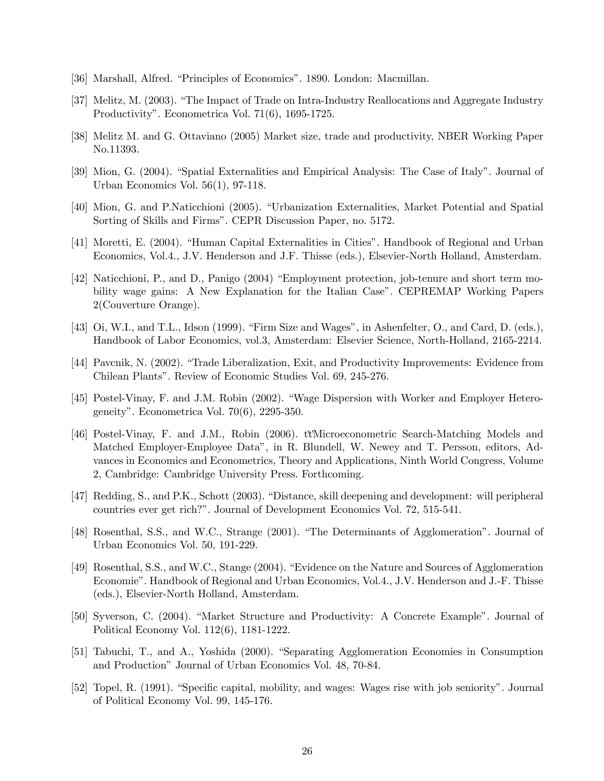- [36] Marshall, Alfred. "Principles of Economics". 1890. London: Macmillan.
- [37] Melitz, M. (2003). "The Impact of Trade on Intra-Industry Reallocations and Aggregate Industry Productivity". Econometrica Vol. 71(6), 1695-1725.
- [38] Melitz M. and G. Ottaviano (2005) Market size, trade and productivity, NBER Working Paper No.11393.
- [39] Mion, G. (2004). "Spatial Externalities and Empirical Analysis: The Case of Italy". Journal of Urban Economics Vol. 56(1), 97-118.
- [40] Mion, G. and P.Naticchioni (2005). "Urbanization Externalities, Market Potential and Spatial Sorting of Skills and Firms". CEPR Discussion Paper, no. 5172.
- [41] Moretti, E. (2004). "Human Capital Externalities in Cities". Handbook of Regional and Urban Economics, Vol.4., J.V. Henderson and J.F. Thisse (eds.), Elsevier-North Holland, Amsterdam.
- [42] Naticchioni, P., and D., Panigo (2004) "Employment protection, job-tenure and short term mobility wage gains: A New Explanation for the Italian Case". CEPREMAP Working Papers 2(Couverture Orange).
- [43] Oi, W.I., and T.L., Idson (1999). "Firm Size and Wages", in Ashenfelter, O., and Card, D. (eds.), Handbook of Labor Economics, vol.3, Amsterdam: Elsevier Science, North-Holland, 2165-2214.
- [44] Pavcnik, N. (2002). "Trade Liberalization, Exit, and Productivity Improvements: Evidence from Chilean Plants". Review of Economic Studies Vol. 69, 245-276.
- [45] Postel-Vinay, F. and J.M. Robin (2002). "Wage Dispersion with Worker and Employer Heterogeneity". Econometrica Vol. 70(6), 2295-350.
- [46] Postel-Vinay, F. and J.M., Robin (2006). ttMicroeconometric Search-Matching Models and Matched Employer-Employee Data", in R. Blundell, W. Newey and T. Persson, editors, Advances in Economics and Econometrics, Theory and Applications, Ninth World Congress, Volume 2, Cambridge: Cambridge University Press. Forthcoming.
- [47] Redding, S., and P.K., Schott (2003). "Distance, skill deepening and development: will peripheral countries ever get rich?". Journal of Development Economics Vol. 72, 515-541.
- [48] Rosenthal, S.S., and W.C., Strange (2001). "The Determinants of Agglomeration". Journal of Urban Economics Vol. 50, 191-229.
- [49] Rosenthal, S.S., and W.C., Stange (2004). "Evidence on the Nature and Sources of Agglomeration Economie". Handbook of Regional and Urban Economics, Vol.4., J.V. Henderson and J.-F. Thisse (eds.), Elsevier-North Holland, Amsterdam.
- [50] Syverson, C. (2004). "Market Structure and Productivity: A Concrete Example". Journal of Political Economy Vol. 112(6), 1181-1222.
- [51] Tabuchi, T., and A., Yoshida (2000). "Separating Agglomeration Economies in Consumption and Production" Journal of Urban Economics Vol. 48, 70-84.
- [52] Topel, R. (1991). "Specific capital, mobility, and wages: Wages rise with job seniority". Journal of Political Economy Vol. 99, 145-176.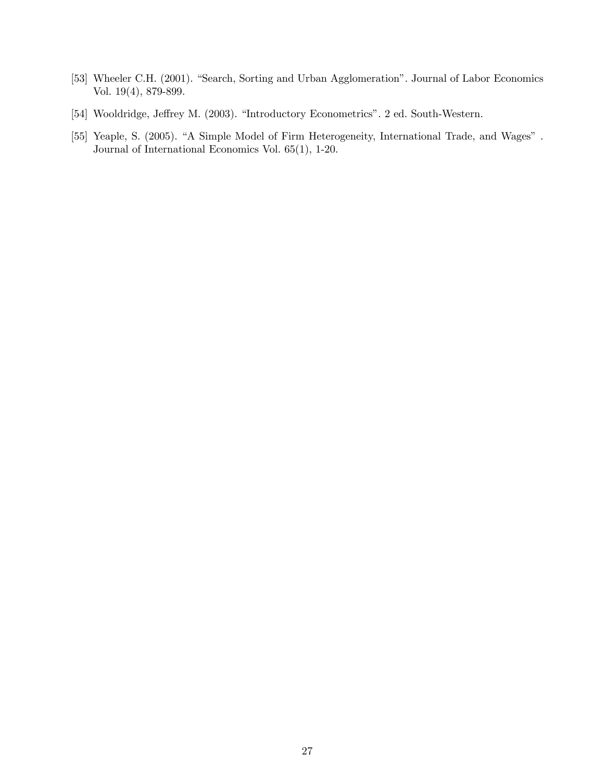- [53] Wheeler C.H. (2001). "Search, Sorting and Urban Agglomeration". Journal of Labor Economics Vol. 19(4), 879-899.
- [54] Wooldridge, Jeffrey M. (2003). "Introductory Econometrics". 2 ed. South-Western.
- [55] Yeaple, S. (2005). "A Simple Model of Firm Heterogeneity, International Trade, and Wages". Journal of International Economics Vol. 65(1), 1-20.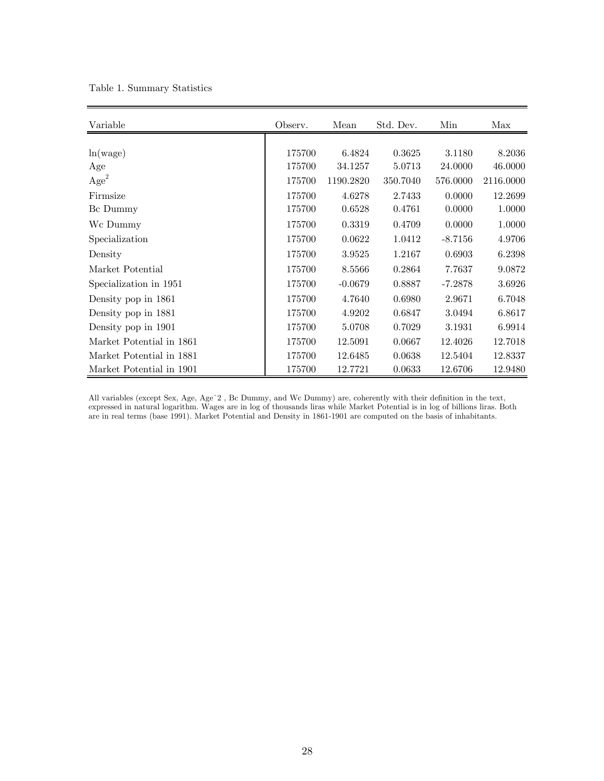| Table 1. Summary Statistics |  |
|-----------------------------|--|
|-----------------------------|--|

| Variable                 | Observ. | Mean      | Std. Dev. | Min       | Max       |
|--------------------------|---------|-----------|-----------|-----------|-----------|
|                          |         |           |           |           |           |
| ln(wage)                 | 175700  | 6.4824    | 0.3625    | 3.1180    | 8.2036    |
| Age                      | 175700  | 34.1257   | 5.0713    | 24.0000   | 46.0000   |
| Age <sup>2</sup>         | 175700  | 1190.2820 | 350.7040  | 576.0000  | 2116.0000 |
| Firmsize                 | 175700  | 4.6278    | 2.7433    | 0.0000    | 12.2699   |
| Bc Dummy                 | 175700  | 0.6528    | 0.4761    | 0.0000    | 1.0000    |
| Wc Dummy                 | 175700  | 0.3319    | 0.4709    | 0.0000    | 1.0000    |
| Specialization           | 175700  | 0.0622    | 1.0412    | $-8.7156$ | 4.9706    |
| Density                  | 175700  | 3.9525    | 1.2167    | 0.6903    | 6.2398    |
| Market Potential         | 175700  | 8.5566    | 0.2864    | 7.7637    | 9.0872    |
| Specialization in 1951   | 175700  | $-0.0679$ | 0.8887    | $-7.2878$ | 3.6926    |
| Density pop in 1861      | 175700  | 4.7640    | 0.6980    | 2.9671    | 6.7048    |
| Density pop in 1881      | 175700  | 4.9202    | 0.6847    | 3.0494    | 6.8617    |
| Density pop in 1901      | 175700  | 5.0708    | 0.7029    | 3.1931    | 6.9914    |
| Market Potential in 1861 | 175700  | 12.5091   | 0.0667    | 12.4026   | 12.7018   |
| Market Potential in 1881 | 175700  | 12.6485   | 0.0638    | 12.5404   | 12.8337   |
| Market Potential in 1901 | 175700  | 12.7721   | 0.0633    | 12.6706   | 12.9480   |

All variables (except Sex, Age, Ageˆ2 , Bc Dummy, and Wc Dummy) are, coherently with their definition in the text, expressed in natural logarithm. Wages are in log of thousands liras while Market Potential is in log of billions liras. Both are in real terms (base 1991). Market Potential and Density in 1861-1901 are computed on the basis of inhabitants.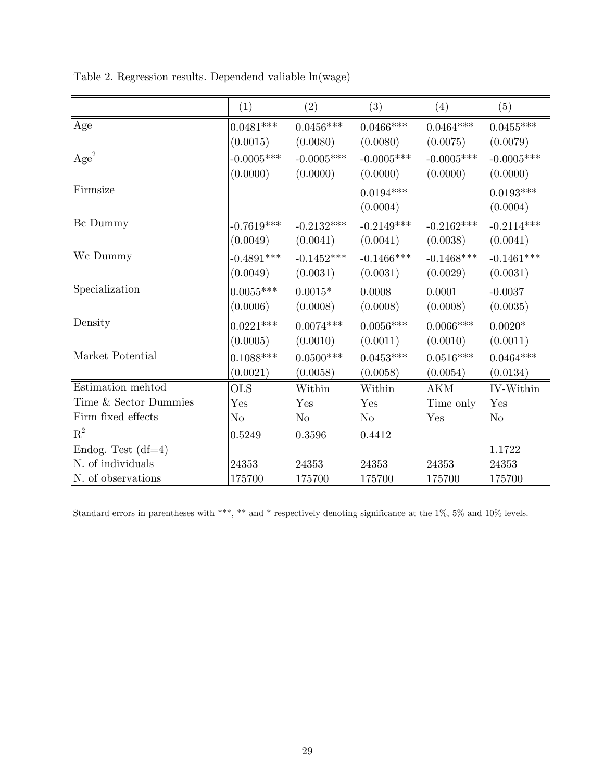|                       | (1)          | (2)          | (3)           | (4)          | (5)          |
|-----------------------|--------------|--------------|---------------|--------------|--------------|
| Age                   | $0.0481***$  | $0.0456***$  | $0.0466***$   | $0.0464***$  | $0.0455***$  |
|                       | (0.0015)     | (0.0080)     | (0.0080)      | (0.0075)     | (0.0079)     |
| Age <sup>2</sup>      | $-0.0005***$ | $-0.0005***$ | $-0.0005***$  | $-0.0005***$ | $-0.0005***$ |
|                       | (0.0000)     | (0.0000)     | (0.0000)      | (0.0000)     | (0.0000)     |
| Firmsize              |              |              | $0.0194***$   |              | $0.0193***$  |
|                       |              |              | (0.0004)      |              | (0.0004)     |
| Bc Dummy              | $-0.7619***$ | $-0.2132***$ | $-0.2149***$  | $-0.2162***$ | $-0.2114***$ |
|                       | (0.0049)     | (0.0041)     | (0.0041)      | (0.0038)     | (0.0041)     |
| Wc Dummy              | $-0.4891***$ | $-0.1452***$ | $-0.1466$ *** | $-0.1468***$ | $-0.1461***$ |
|                       | (0.0049)     | (0.0031)     | (0.0031)      | (0.0029)     | (0.0031)     |
| Specialization        | $0.0055***$  | $0.0015*$    | 0.0008        | 0.0001       | $-0.0037$    |
|                       | (0.0006)     | (0.0008)     | (0.0008)      | (0.0008)     | (0.0035)     |
| Density               | $0.0221***$  | $0.0074***$  | $0.0056***$   | $0.0066***$  | $0.0020*$    |
|                       | (0.0005)     | (0.0010)     | (0.0011)      | (0.0010)     | (0.0011)     |
| Market Potential      | $0.1088***$  | $0.0500***$  | $0.0453***$   | $0.0516***$  | $0.0464***$  |
|                       | (0.0021)     | (0.0058)     | (0.0058)      | (0.0054)     | (0.0134)     |
| Estimation mehtod     | <b>OLS</b>   | Within       | Within        | <b>AKM</b>   | IV-Within    |
| Time & Sector Dummies | Yes          | Yes          | Yes           | Time only    | Yes          |
| Firm fixed effects    | $\rm No$     | No           | No            | Yes          | $\rm No$     |
| $R^2$                 | 0.5249       | 0.3596       | 0.4412        |              |              |
| Endog. Test $(df=4)$  |              |              |               |              | 1.1722       |
| N. of individuals     | 24353        | 24353        | 24353         | 24353        | 24353        |
| N. of observations    | 175700       | 175700       | 175700        | 175700       | 175700       |

Table 2. Regression results. Dependend valiable ln(wage)

Standard errors in parentheses with \*\*\*, \*\* and \* respectively denoting significance at the 1%, 5% and 10% levels.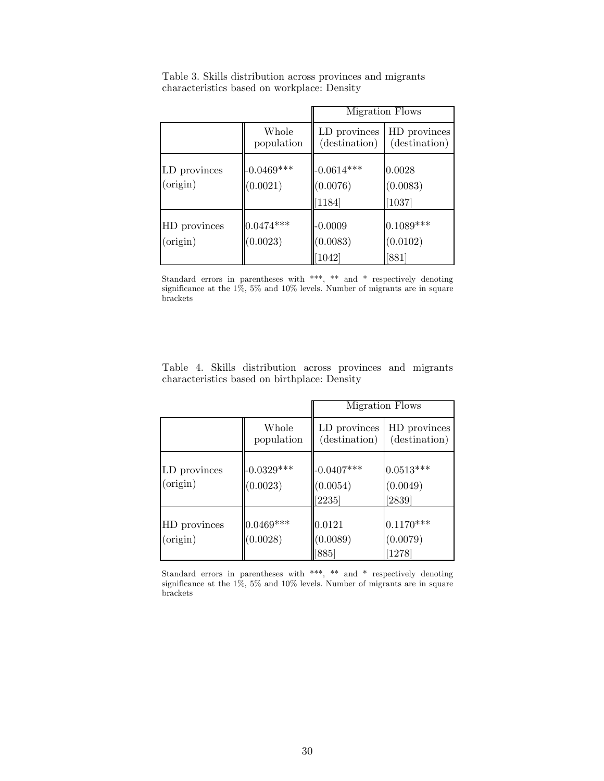|                          |                          |                                      | Migration Flows                |
|--------------------------|--------------------------|--------------------------------------|--------------------------------|
|                          | Whole<br>population      | LD provinces<br>(destination)        | HD provinces<br>(destination)  |
| LD provinces<br>(origin) | $-0.0469***$<br>(0.0021) | $-0.0614***$<br>(0.0076)<br>$[1184]$ | 0.0028<br>(0.0083)<br>[1037]   |
| HD provinces<br>(origin) | $0.0474***$<br>(0.0023)  | $-0.0009$<br>(0.0083)<br>[1042]      | $0.1089***$<br>(0.0102)<br>881 |

Table 3. Skills distribution across provinces and migrants characteristics based on workplace: Density

Standard errors in parentheses with \*\*\*, \*\* and \* respectively denoting significance at the 1%, 5% and 10% levels. Number of migrants are in square brackets

|  | Table 4. Skills distribution across provinces and migrants |  |  |
|--|------------------------------------------------------------|--|--|
|  | characteristics based on birthplace: Density               |  |  |

|                          |                          |                                    | Migration Flows                   |
|--------------------------|--------------------------|------------------------------------|-----------------------------------|
|                          | Whole<br>population      | LD provinces<br>(destination)      | HD provinces<br>(destination)     |
| LD provinces<br>(origin) | $-0.0329***$<br>(0.0023) | $-0.0407***$<br>(0.0054)<br>[2235] | $0.0513***$<br>(0.0049)<br>[2839] |
| HD provinces<br>(origin) | $0.0469***$<br>(0.0028)  | 0.0121<br>(0.0089)<br>[885]        | $0.1170***$<br>(0.0079)<br>[1278] |

Standard errors in parentheses with \*\*\*, \*\* and \* respectively denoting significance at the 1%, 5% and 10% levels. Number of migrants are in square brackets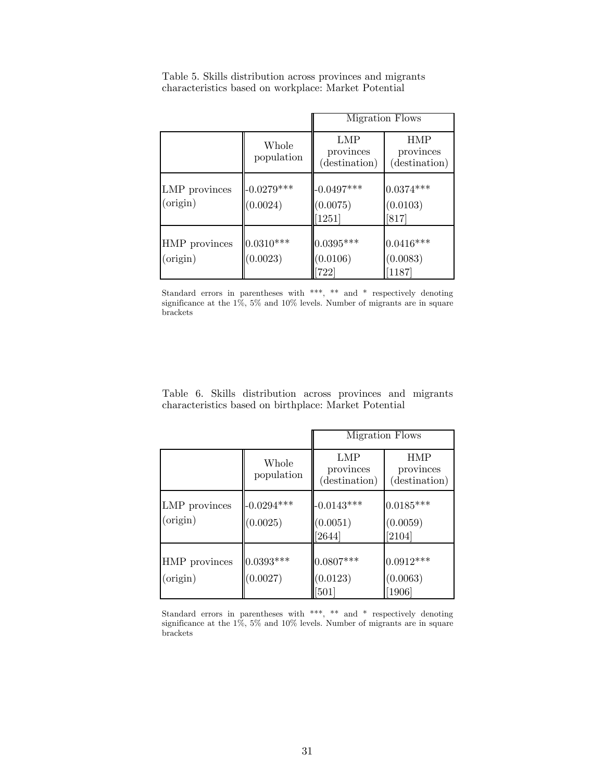|                           |                          |                                   | Migration Flows                          |
|---------------------------|--------------------------|-----------------------------------|------------------------------------------|
|                           | Whole<br>population      | LMP<br>provinces<br>(destination) | <b>HMP</b><br>provinces<br>(destination) |
| LMP provinces<br>(origin) | $-0.0279***$<br>(0.0024) | $-0.0497***$<br>(0.0075)<br>1251] | $0.0374***$<br>(0.0103)<br>$[817]$       |
| HMP provinces<br>(origin) | $0.0310***$<br>(0.0023)  | $0.0395***$<br>(0.0106)<br>[722]  | $0.0416***$<br>(0.0083)<br>[1187]        |

Table 5. Skills distribution across provinces and migrants characteristics based on workplace: Market Potential

Standard errors in parentheses with \*\*\*, \*\* and \* respectively denoting significance at the 1%, 5% and 10% levels. Number of migrants are in square brackets

|                                                       |  |  |  |  | Table 6. Skills distribution across provinces and migrants |
|-------------------------------------------------------|--|--|--|--|------------------------------------------------------------|
| characteristics based on birthplace: Market Potential |  |  |  |  |                                                            |

|                           |                          |                                    | Migration Flows                          |
|---------------------------|--------------------------|------------------------------------|------------------------------------------|
|                           | Whole<br>population      | LMP<br>provinces<br>(destination)  | <b>HMP</b><br>provinces<br>(destination) |
| LMP provinces<br>(origin) | $-0.0294***$<br>(0.0025) | $-0.0143***$<br>(0.0051)<br>[2644] | $0.0185***$<br>(0.0059)<br>[2104]        |
| HMP provinces<br>(origin) | $0.0393***$<br>(0.0027)  | $0.0807***$<br>(0.0123)<br>$[501]$ | $0.0912***$<br>(0.0063)<br>[1906]        |

Standard errors in parentheses with \*\*\*, \*\* and \* respectively denoting significance at the 1%, 5% and 10% levels. Number of migrants are in square brackets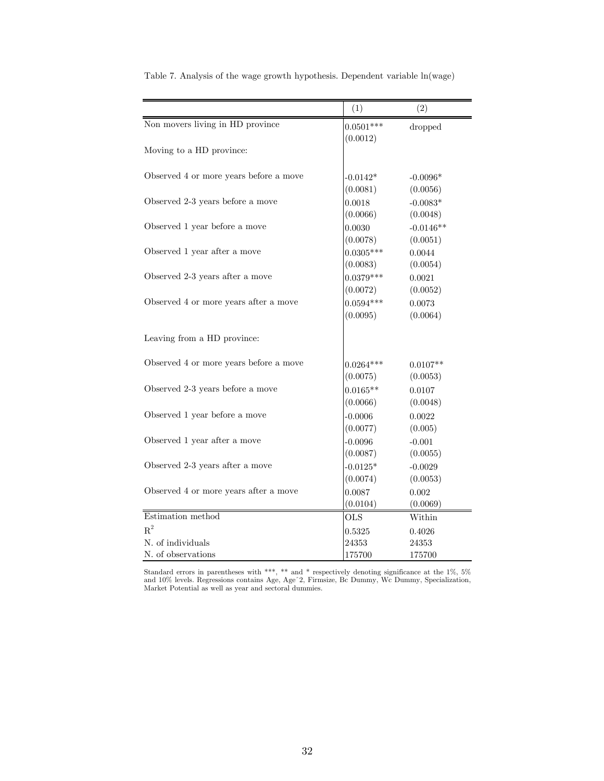|                                        | (1)         | (2)         |
|----------------------------------------|-------------|-------------|
| Non movers living in HD province       | $0.0501***$ | dropped     |
|                                        | (0.0012)    |             |
| Moving to a HD province:               |             |             |
| Observed 4 or more years before a move | $-0.0142*$  | $-0.0096*$  |
|                                        | (0.0081)    | (0.0056)    |
| Observed 2-3 years before a move       | 0.0018      | $-0.0083*$  |
|                                        | (0.0066)    | (0.0048)    |
| Observed 1 year before a move          | 0.0030      | $-0.0146**$ |
|                                        | (0.0078)    | (0.0051)    |
| Observed 1 year after a move           | $0.0305***$ | 0.0044      |
|                                        | (0.0083)    | (0.0054)    |
| Observed 2-3 years after a move        | $0.0379***$ | 0.0021      |
|                                        | (0.0072)    | (0.0052)    |
| Observed 4 or more years after a move  | $0.0594***$ | 0.0073      |
|                                        | (0.0095)    | (0.0064)    |
| Leaving from a HD province:            |             |             |
| Observed 4 or more years before a move | $0.0264***$ | $0.0107**$  |
|                                        | (0.0075)    | (0.0053)    |
| Observed 2-3 years before a move       | $0.0165**$  | 0.0107      |
|                                        | (0.0066)    | (0.0048)    |
| Observed 1 year before a move          | $-0.0006$   | 0.0022      |
|                                        | (0.0077)    | (0.005)     |
| Observed 1 year after a move           | $-0.0096$   | $-0.001$    |
|                                        | (0.0087)    | (0.0055)    |
| Observed 2-3 years after a move        | $-0.0125*$  | $-0.0029$   |
|                                        | (0.0074)    | (0.0053)    |
| Observed 4 or more years after a move  | 0.0087      | 0.002       |
|                                        | (0.0104)    | (0.0069)    |
| Estimation method                      | <b>OLS</b>  | Within      |
| $R^2$                                  | 0.5325      | 0.4026      |
| N. of individuals                      | 24353       | 24353       |
| N. of observations                     | 175700      | 175700      |

Table 7. Analysis of the wage growth hypothesis. Dependent variable ln(wage)

Standard errors in parentheses with \*\*\*, \*\* and \* respectively denoting significance at the 1%, 5% and 10% levels. Regressions contains Age, Ageˆ2, Firmsize, Bc Dummy, Wc Dummy, Specialization, Market Potential as well as year and sectoral dummies.